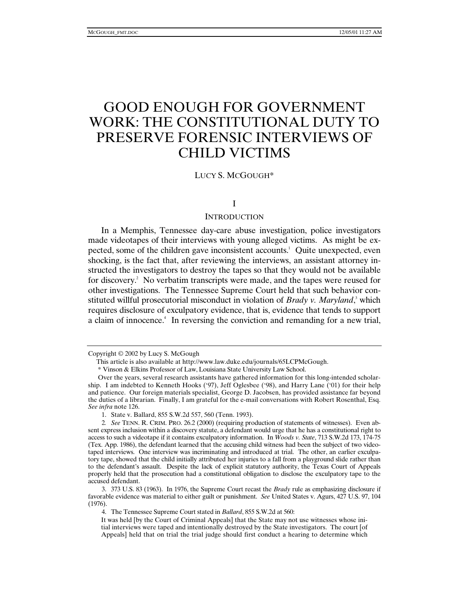# GOOD ENOUGH FOR GOVERNMENT WORK: THE CONSTITUTIONAL DUTY TO PRESERVE FORENSIC INTERVIEWS OF CHILD VICTIMS

# LUCY S. MCGOUGH\*

# I

#### **INTRODUCTION**

In a Memphis, Tennessee day-care abuse investigation, police investigators made videotapes of their interviews with young alleged victims. As might be expected, some of the children gave inconsistent accounts.<sup>1</sup> Quite unexpected, even shocking, is the fact that, after reviewing the interviews, an assistant attorney instructed the investigators to destroy the tapes so that they would not be available for discovery.<sup>2</sup> No verbatim transcripts were made, and the tapes were reused for other investigations. The Tennessee Supreme Court held that such behavior constituted willful prosecutorial misconduct in violation of *Brady v. Maryland*,<sup>3</sup> which requires disclosure of exculpatory evidence, that is, evidence that tends to support a claim of innocence.<sup>4</sup> In reversing the conviction and remanding for a new trial,

Copyright © 2002 by Lucy S. McGough

This article is also available at http://www.law.duke.edu/journals/65LCPMcGough.

 <sup>\*</sup> Vinson & Elkins Professor of Law, Louisiana State University Law School.

Over the years, several research assistants have gathered information for this long-intended scholarship. I am indebted to Kenneth Hooks ('97), Jeff Oglesbee ('98), and Harry Lane ('01) for their help and patience. Our foreign materials specialist, George D. Jacobsen, has provided assistance far beyond the duties of a librarian. Finally, I am grateful for the e-mail conversations with Robert Rosenthal, Esq. *See infra* note 126.

<sup>1.</sup> State v. Ballard, 855 S.W.2d 557, 560 (Tenn. 1993).

<sup>2</sup>*. See* TENN. R. CRIM. PRO. 26.2 (2000) (requiring production of statements of witnesses). Even absent express inclusion within a discovery statute, a defendant would urge that he has a constitutional right to access to such a videotape if it contains exculpatory information. In *Woods v. State*, 713 S.W.2d 173, 174-75 (Tex. App. 1986), the defendant learned that the accusing child witness had been the subject of two videotaped interviews. One interview was incriminating and introduced at trial. The other, an earlier exculpatory tape, showed that the child initially attributed her injuries to a fall from a playground slide rather than to the defendant's assault. Despite the lack of explicit statutory authority, the Texas Court of Appeals properly held that the prosecution had a constitutional obligation to disclose the exculpatory tape to the accused defendant.

<sup>3. 373</sup> U.S. 83 (1963). In 1976, the Supreme Court recast the *Brady* rule as emphasizing disclosure if favorable evidence was material to either guilt or punishment. *See* United States v. Agurs, 427 U.S. 97, 104 (1976).

<sup>4.</sup> The Tennessee Supreme Court stated in *Ballard*, 855 S.W.2d at 560:

It was held [by the Court of Criminal Appeals] that the State may not use witnesses whose initial interviews were taped and intentionally destroyed by the State investigators. The court [of Appeals] held that on trial the trial judge should first conduct a hearing to determine which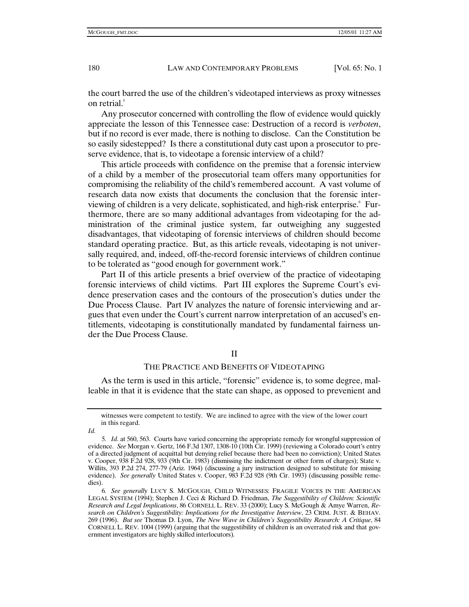the court barred the use of the children's videotaped interviews as proxy witnesses on retrial.<sup>5</sup>

Any prosecutor concerned with controlling the flow of evidence would quickly appreciate the lesson of this Tennessee case: Destruction of a record is *verboten*, but if no record is ever made, there is nothing to disclose. Can the Constitution be so easily sidestepped? Is there a constitutional duty cast upon a prosecutor to preserve evidence, that is, to videotape a forensic interview of a child?

This article proceeds with confidence on the premise that a forensic interview of a child by a member of the prosecutorial team offers many opportunities for compromising the reliability of the child's remembered account. A vast volume of research data now exists that documents the conclusion that the forensic interviewing of children is a very delicate, sophisticated, and high-risk enterprise. Furthermore, there are so many additional advantages from videotaping for the administration of the criminal justice system, far outweighing any suggested disadvantages, that videotaping of forensic interviews of children should become standard operating practice. But, as this article reveals, videotaping is not universally required, and, indeed, off-the-record forensic interviews of children continue to be tolerated as "good enough for government work."

Part II of this article presents a brief overview of the practice of videotaping forensic interviews of child victims. Part III explores the Supreme Court's evidence preservation cases and the contours of the prosecution's duties under the Due Process Clause. Part IV analyzes the nature of forensic interviewing and argues that even under the Court's current narrow interpretation of an accused's entitlements, videotaping is constitutionally mandated by fundamental fairness under the Due Process Clause.

## II

## THE PRACTICE AND BENEFITS OF VIDEOTAPING

As the term is used in this article, "forensic" evidence is, to some degree, malleable in that it is evidence that the state can shape, as opposed to prevenient and

*Id.*

witnesses were competent to testify. We are inclined to agree with the view of the lower court in this regard.

<sup>5</sup>*. Id*. at 560, 563. Courts have varied concerning the appropriate remedy for wrongful suppression of evidence. *See* Morgan v. Gertz, 166 F.3d 1307, 1308-10 (10th Cir. 1999) (reviewing a Colorado court's entry of a directed judgment of acquittal but denying relief because there had been no conviction); United States v. Cooper, 938 F.2d 928, 933 (9th Cir. 1983) (dismissing the indictment or other form of charges); State v. Willits, 393 P.2d 274, 277-79 (Ariz. 1964) (discussing a jury instruction designed to substitute for missing evidence). *See generally* United States v. Cooper, 983 F.2d 928 (9th Cir. 1993) (discussing possible remedies).

<sup>6</sup>*. See generall*y LUCY S. MCGOUGH, CHILD WITNESSES: FRAGILE VOICES IN THE AMERICAN LEGAL SYSTEM (1994); Stephen J. Ceci & Richard D. Friedman, *The Suggestibility of Children: Scientific Research and Legal Implications*, 86 CORNELL L. REV. 33 (2000); Lucy S. McGough & Amye Warren, *Research on Children's Suggestibility: Implications for the Investigative Interview*, 23 CRIM. JUST. & BEHAV. 269 (1996). *But see* Thomas D. Lyon, *The New Wave in Children's Suggestibility Research: A Critique*, 84 CORNELL L. REV. 1004 (1999) (arguing that the suggestibility of children is an overrated risk and that government investigators are highly skilled interlocutors).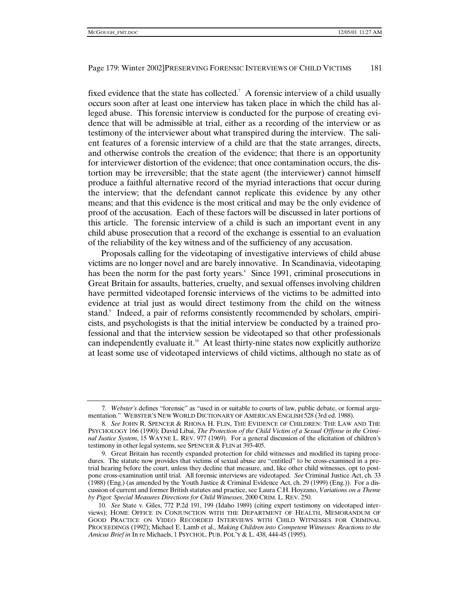fixed evidence that the state has collected.<sup>7</sup> A forensic interview of a child usually occurs soon after at least one interview has taken place in which the child has alleged abuse. This forensic interview is conducted for the purpose of creating evidence that will be admissible at trial, either as a recording of the interview or as testimony of the interviewer about what transpired during the interview. The salient features of a forensic interview of a child are that the state arranges, directs, and otherwise controls the creation of the evidence; that there is an opportunity for interviewer distortion of the evidence; that once contamination occurs, the distortion may be irreversible; that the state agent (the interviewer) cannot himself produce a faithful alternative record of the myriad interactions that occur during the interview; that the defendant cannot replicate this evidence by any other means; and that this evidence is the most critical and may be the only evidence of proof of the accusation. Each of these factors will be discussed in later portions of this article. The forensic interview of a child is such an important event in any child abuse prosecution that a record of the exchange is essential to an evaluation of the reliability of the key witness and of the sufficiency of any accusation.

Proposals calling for the videotaping of investigative interviews of child abuse victims are no longer novel and are barely innovative. In Scandinavia, videotaping has been the norm for the past forty years.<sup>8</sup> Since 1991, criminal prosecutions in Great Britain for assaults, batteries, cruelty, and sexual offenses involving children have permitted videotaped forensic interviews of the victims to be admitted into evidence at trial just as would direct testimony from the child on the witness stand.<sup>9</sup> Indeed, a pair of reforms consistently recommended by scholars, empiricists, and psychologists is that the initial interview be conducted by a trained professional and that the interview session be videotaped so that other professionals can independently evaluate it.<sup>10</sup> At least thirty-nine states now explicitly authorize at least some use of videotaped interviews of child victims, although no state as of

<sup>7</sup>*. Webster's* defines "forensic" as "used in or suitable to courts of law, public debate, or formal argumentation." WEBSTER'S NEW WORLD DICTIONARY OF AMERICAN ENGLISH 528 (3rd ed. 1988).

<sup>8</sup>*. See* JOHN R. SPENCER & RHONA H. FLIN, THE EVIDENCE OF CHILDREN: THE LAW AND THE PSYCHOLOGY 166 (1990); David Libai, *The Protection of the Child Victim of a Sexual Offense in the Criminal Justice System*, 15 WAYNE L. REV. 977 (1969). For a general discussion of the elicitation of children's testimony in other legal systems, see SPENCER & FLIN at 393-405.

<sup>9.</sup> Great Britain has recently expanded protection for child witnesses and modified its taping procedures. The statute now provides that victims of sexual abuse are "entitled" to be cross-examined in a pretrial hearing before the court, unless they decline that measure, and, like other child witnesses, opt to postpone cross-examination until trial. All forensic interviews are videotaped. *See* Criminal Justice Act, ch. 33 (1988) (Eng.) (as amended by the Youth Justice & Criminal Evidence Act, ch. 29 (1999) (Eng.)). For a discussion of current and former British statutes and practice, see Laura C.H. Hoyzano, *Variations on a Theme by Pigot: Special Measures Directions for Child Witnesses*, 2000 CRIM. L. REV. 250.

<sup>10</sup>*. See* State v. Giles, 772 P.2d 191, 199 (Idaho 1989) (citing expert testimony on videotaped interviews); HOME OFFICE IN CONJUNCTION WITH THE DEPARTMENT OF HEALTH, MEMORANDUM OF GOOD PRACTICE ON VIDEO RECORDED INTERVIEWS WITH CHILD WITNESSES FOR CRIMINAL PROCEEDINGS (1992); Michael E. Lamb et al., *Making Children into Competent Witnesses: Reactions to the Amicus Brief in* In re Michaels, 1 PSYCHOL. PUB. POL'Y & L. 438, 444-45 (1995).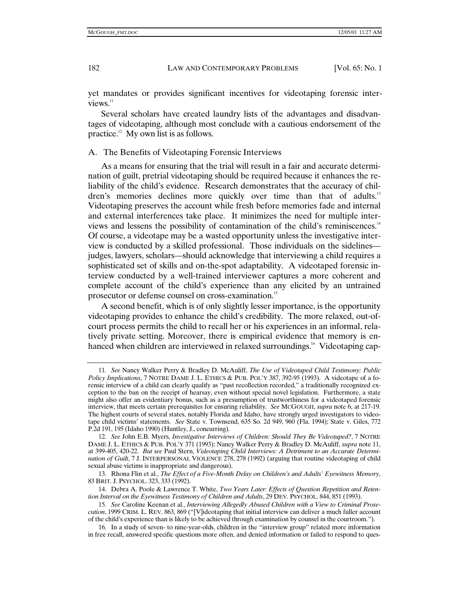yet mandates or provides significant incentives for videotaping forensic interviews. $11$ 

Several scholars have created laundry lists of the advantages and disadvantages of videotaping, although most conclude with a cautious endorsement of the practice.12 My own list is as follows.

# A. The Benefits of Videotaping Forensic Interviews

As a means for ensuring that the trial will result in a fair and accurate determination of guilt, pretrial videotaping should be required because it enhances the reliability of the child's evidence. Research demonstrates that the accuracy of children's memories declines more quickly over time than that of adults.<sup>13</sup> Videotaping preserves the account while fresh before memories fade and internal and external interferences take place. It minimizes the need for multiple interviews and lessens the possibility of contamination of the child's reminiscences.14 Of course, a videotape may be a wasted opportunity unless the investigative interview is conducted by a skilled professional. Those individuals on the sidelines judges, lawyers, scholars—should acknowledge that interviewing a child requires a sophisticated set of skills and on-the-spot adaptability. A videotaped forensic interview conducted by a well-trained interviewer captures a more coherent and complete account of the child's experience than any elicited by an untrained prosecutor or defense counsel on cross-examination.<sup>15</sup>

A second benefit, which is of only slightly lesser importance, is the opportunity videotaping provides to enhance the child's credibility. The more relaxed, out-ofcourt process permits the child to recall her or his experiences in an informal, relatively private setting. Moreover, there is empirical evidence that memory is enhanced when children are interviewed in relaxed surroundings.<sup>16</sup> Videotaping cap-

<sup>11</sup>*. See* Nancy Walker Perry & Bradley D. McAuliff, *The Use of Videotaped Child Testimony: Public Policy Implications*, 7 NOTRE DAME J. L. ETHICS & PUB. POL'Y 387, 392-95 (1993). A videotape of a forensic interview of a child can clearly qualify as "past recollection recorded," a traditionally recognized exception to the ban on the receipt of hearsay, even without special novel legislation. Furthermore, a state might also offer an evidentiary bonus, such as a presumption of trustworthiness for a videotaped forensic interview, that meets certain prerequisites for ensuring reliability. *See* MCGOUGH, *supra* note 6, at 217-19. The highest courts of several states, notably Florida and Idaho, have strongly urged investigators to videotape child victims' statements. *See* State v. Townsend, 635 So. 2d 949, 960 (Fla. 1994); State v. Giles, 772 P.2d 191, 195 (Idaho 1990) (Huntley, J., concurring).

<sup>12</sup>*. See* John E.B. Myers, *Investigative Interviews of Children: Should They Be Videotaped?*, 7 NOTRE DAME J. L. ETHICS & PUB. POL'Y 371 (1993); Nancy Walker Perry & Bradley D. McAuliff, *supra* note 11, at 399-405, 420-22. *But see* Paul Stern, *Videotaping Child Interviews: A Detriment to an Accurate Determination of Guilt*, 7 J. INTERPERSONAL VIOLENCE 278, 278 (1992) (arguing that routine videotaping of child sexual abuse victims is inappropriate and dangerous).

<sup>13.</sup> Rhona Flin et al., *The Effect of a Five-Month Delay on Children's and Adults' Eyewitness Memory*, 83 BRIT. J. PSYCHOL. 323, 333 (1992).

<sup>14.</sup> Debra A. Poole & Lawrence T. White, *Two Years Later: Effects of Question Repetition and Retention Interval on the Eyewitness Testimony of Children and Adults*, 29 DEV. PSYCHOL. 844, 851 (1993).

<sup>15</sup>*. See* Caroline Keenan et al., *Interviewing Allegedly Abused Children with a View to Criminal Prosecution*, 1999 CRIM. L. REV. 863, 869 ("[V]ideotaping that initial interview can deliver a much fuller account of the child's experience than is likely to be achieved through examination by counsel in the courtroom.").

<sup>16.</sup> In a study of seven- to nine-year-olds, children in the "interview group" related more information in free recall, answered specific questions more often, and denied information or failed to respond to ques-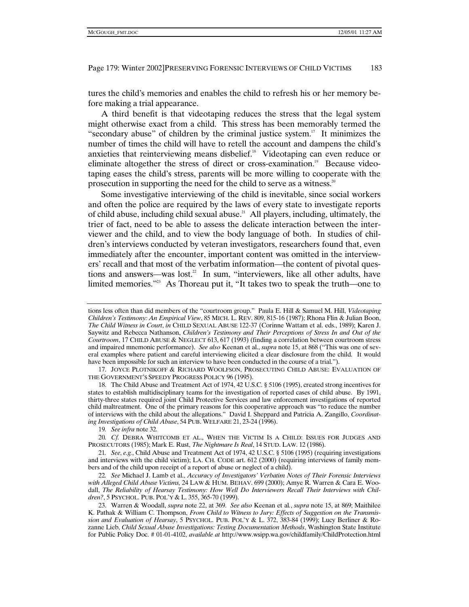tures the child's memories and enables the child to refresh his or her memory before making a trial appearance.

A third benefit is that videotaping reduces the stress that the legal system might otherwise exact from a child. This stress has been memorably termed the "secondary abuse" of children by the criminal justice system. $17$  It minimizes the number of times the child will have to retell the account and dampens the child's anxieties that reinterviewing means disbelief.<sup>18</sup> Videotaping can even reduce or eliminate altogether the stress of direct or cross-examination.<sup>19</sup> Because videotaping eases the child's stress, parents will be more willing to cooperate with the prosecution in supporting the need for the child to serve as a witness.<sup>20</sup>

Some investigative interviewing of the child is inevitable, since social workers and often the police are required by the laws of every state to investigate reports of child abuse, including child sexual abuse.<sup>21</sup> All players, including, ultimately, the trier of fact, need to be able to assess the delicate interaction between the interviewer and the child, and to view the body language of both. In studies of children's interviews conducted by veteran investigators, researchers found that, even immediately after the encounter, important content was omitted in the interviewers' recall and that most of the verbatim information—the content of pivotal questions and answers—was lost.<sup>22</sup> In sum, "interviewers, like all other adults, have limited memories."23 As Thoreau put it, "It takes two to speak the truth—one to

tions less often than did members of the "courtroom group." Paula E. Hill & Samuel M. Hill, *Videotaping Children's Testimony: An Empirical View*, 85 MICH. L. REV. 809, 815-16 (1987); Rhona Flin & Julian Boon, *The Child Witness in Court*, *in* CHILD SEXUAL ABUSE 122-37 (Corinne Wattam et al. eds., 1989); Karen J. Saywitz and Rebecca Nathanson, *Children's Testimony and Their Perceptions of Stress In and Out of the Courtroom*, 17 CHILD ABUSE & NEGLECT 613, 617 (1993) (finding a correlation between courtroom stress and impaired mnemonic performance). *See also* Keenan et al., *supra* note 15, at 868 ("This was one of several examples where patient and careful interviewing elicited a clear disclosure from the child. It would have been impossible for such an interview to have been conducted in the course of a trial.").

<sup>17.</sup> JOYCE PLOTNIKOFF & RICHARD WOOLFSON, PROSECUTING CHILD ABUSE: EVALUATION OF THE GOVERNMENT'S SPEEDY PROGRESS POLICY 96 (1995).

<sup>18.</sup> The Child Abuse and Treatment Act of 1974, 42 U.S.C. § 5106 (1995), created strong incentives for states to establish multidisciplinary teams for the investigation of reported cases of child abuse. By 1991, thirty-three states required joint Child Protective Services and law enforcement investigations of reported child maltreatment. One of the primary reasons for this cooperative approach was "to reduce the number of interviews with the child about the allegations." David I. Sheppard and Patricia A. Zangillo, *Coordinating Investigations of Child Abuse*, 54 PUB. WELFARE 21, 23-24 (1996).

<sup>19</sup>*. See infra* note 32*.*

<sup>20</sup>*. Cf.* DEBRA WHITCOMB ET AL., WHEN THE VICTIM IS A CHILD: ISSUES FOR JUDGES AND PROSECUTORS (1985); Mark E. Rust, *The Nightmare Is Real*, 14 STUD. LAW. 12 (1986).

<sup>21</sup>*. See*, *e.g.*, Child Abuse and Treatment Act of 1974, 42 U.S.C. § 5106 (1995) (requiring investigations and interviews with the child victim); LA. CH. CODE art. 612 (2000) (requiring interviews of family members and of the child upon receipt of a report of abuse or neglect of a child).

<sup>22</sup>*. See* Michael J. Lamb et al., *Accuracy of Investigators' Verbatim Notes of Their Forensic Interviews with Alleged Child Abuse Victims,* 24 LAW & HUM. BEHAV. 699 (2000); Amye R. Warren & Cara E. Woodall, *The Reliability of Hearsay Testimony: How Well Do Interviewers Recall Their Interviews with Children?*, 5 PSYCHOL. PUB. POL'Y & L. 355, 365-70 (1999).

<sup>23.</sup> Warren & Woodall, *supra* note 22, at 369. *See also* Keenan et al*.*, *supra* note 15, at 869; Maithilee K. Pathak & William C. Thompson, *From Child to Witness to Jury: Effects of Suggestion on the Transmission and Evaluation of Hearsay*, 5 PSYCHOL. PUB. POL'Y & L. 372, 383-84 (1999); Lucy Berliner & Rozanne Lieb, *Child Sexual Abuse Investigations: Testing Documentation Methods*, Washington State Institute for Public Policy Doc. # 01-01-4102, *available at* http://www.wsipp.wa.gov/childfamily/ChildProtection.html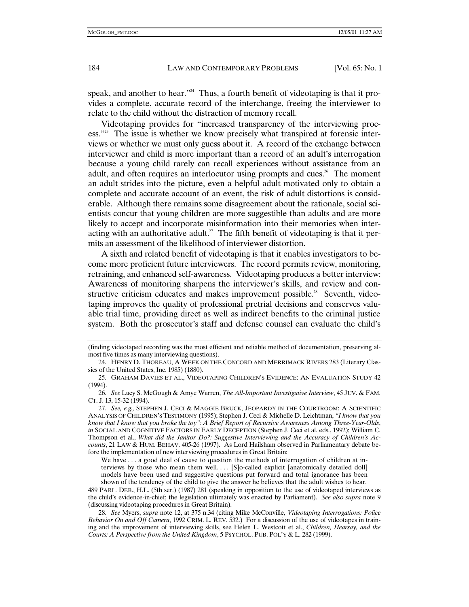speak, and another to hear."<sup>24</sup> Thus, a fourth benefit of videotaping is that it provides a complete, accurate record of the interchange, freeing the interviewer to relate to the child without the distraction of memory recall.

Videotaping provides for "increased transparency of the interviewing process."25 The issue is whether we know precisely what transpired at forensic interviews or whether we must only guess about it. A record of the exchange between interviewer and child is more important than a record of an adult's interrogation because a young child rarely can recall experiences without assistance from an adult, and often requires an interlocutor using prompts and cues.<sup>26</sup> The moment an adult strides into the picture, even a helpful adult motivated only to obtain a complete and accurate account of an event, the risk of adult distortions is considerable. Although there remains some disagreement about the rationale, social scientists concur that young children are more suggestible than adults and are more likely to accept and incorporate misinformation into their memories when interacting with an authoritative adult.<sup>27</sup> The fifth benefit of videotaping is that it permits an assessment of the likelihood of interviewer distortion.

A sixth and related benefit of videotaping is that it enables investigators to become more proficient future interviewers. The record permits review, monitoring, retraining, and enhanced self-awareness. Videotaping produces a better interview: Awareness of monitoring sharpens the interviewer's skills, and review and constructive criticism educates and makes improvement possible.<sup>28</sup> Seventh, videotaping improves the quality of professional pretrial decisions and conserves valuable trial time, providing direct as well as indirect benefits to the criminal justice system. Both the prosecutor's staff and defense counsel can evaluate the child's

We have  $\dots$  a good deal of cause to question the methods of interrogation of children at interviews by those who mean them well.... [S]o-called explicit [anatomically detailed doll] models have been used and suggestive questions put forward and total ignorance has been shown of the tendency of the child to give the answer he believes that the adult wishes to hear.

489 PARL. DEB., H.L. (5th ser.) (1987) 281 (speaking in opposition to the use of videotaped interviews as the child's evidence-in-chief; the legislation ultimately was enacted by Parliament). *See also supra* note 9 (discussing videotaping procedures in Great Britain).

28*. See* Myers, *supra* note 12, at 375 n.34 (citing Mike McConville, *Videotaping Interrogations: Police Behavior On and Off Camera*, 1992 CRIM. L. REV. 532.) For a discussion of the use of videotapes in training and the improvement of interviewing skills, see Helen L. Westcott et al., *Children, Hearsay, and the Courts: A Perspective from the United Kingdom*, 5 PSYCHOL. PUB. POL'Y & L. 282 (1999).

<sup>(</sup>finding videotaped recording was the most efficient and reliable method of documentation, preserving almost five times as many interviewing questions).

<sup>24.</sup> HENRY D. THOREAU, A WEEK ON THE CONCORD AND MERRIMACK RIVERS 283 (Literary Classics of the United States, Inc. 1985) (1880).

<sup>25.</sup> GRAHAM DAVIES ET AL., VIDEOTAPING CHILDREN'S EVIDENCE: AN EVALUATION STUDY 42 (1994).

<sup>26</sup>*. See* Lucy S. McGough & Amye Warren, *The All-Important Investigative Interview*, 45 JUV. & FAM. CT. J. 13, 15-32 (1994).

<sup>27</sup>*. See, e.g.,* STEPHEN J. CECI & MAGGIE BRUCK, JEOPARDY IN THE COURTROOM: A SCIENTIFIC ANALYSIS OF CHILDREN'S TESTIMONY (1995); Stephen J. Ceci & Michelle D. Leichtman, *"I know that you know that I know that you broke the toy": A Brief Report of Recursive Awareness Among Three-Year-Olds*, *in* SOCIAL AND COGNITIVE FACTORS IN EARLY DECEPTION (Stephen J. Ceci et al. eds., 1992); William C. Thompson et al., *What did the Janitor Do?: Suggestive Interviewing and the Accuracy of Children's Accounts*, 21 LAW & HUM. BEHAV. 405-26 (1997). As Lord Hailsham observed in Parliamentary debate before the implementation of new interviewing procedures in Great Britain: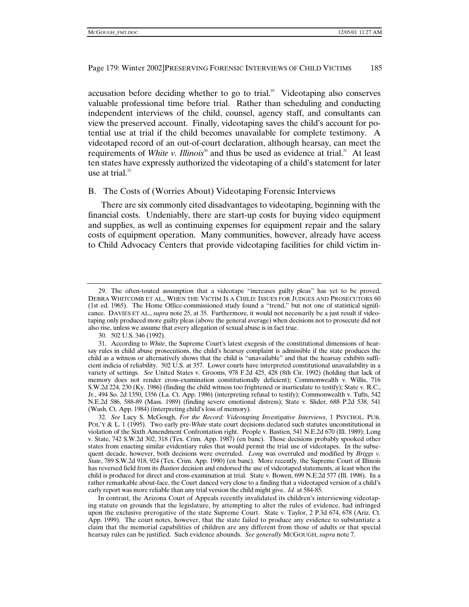accusation before deciding whether to go to trial. $29$  Videotaping also conserves valuable professional time before trial. Rather than scheduling and conducting independent interviews of the child, counsel, agency staff, and consultants can view the preserved account. Finally, videotaping saves the child's account for potential use at trial if the child becomes unavailable for complete testimony. A videotaped record of an out-of-court declaration, although hearsay, can meet the requirements of *White v. Illinois*<sup>30</sup> and thus be used as evidence at trial.<sup>31</sup> At least ten states have expressly authorized the videotaping of a child's statement for later use at trial. $32$ 

# B. The Costs of (Worries About) Videotaping Forensic Interviews

There are six commonly cited disadvantages to videotaping, beginning with the financial costs. Undeniably, there are start-up costs for buying video equipment and supplies, as well as continuing expenses for equipment repair and the salary costs of equipment operation. Many communities, however, already have access to Child Advocacy Centers that provide videotaping facilities for child victim in-

<sup>29.</sup> The often-touted assumption that a videotape "increases guilty pleas" has yet to be proved. DEBRA WHITCOMB ET AL., WHEN THE VICTIM IS A CHILD: ISSUES FOR JUDGES AND PROSECUTORS 60 (1st ed. 1965). The Home Office-commissioned study found a "trend," but not one of statistical significance. DAVIES ET AL., *supra* note 25, at 35. Furthermore, it would not necessarily be a just result if videotaping only produced more guilty pleas (above the general average) when decisions not to prosecute did not also rise, unless we assume that every allegation of sexual abuse is in fact true.

<sup>30. 502</sup> U.S. 346 (1992).

<sup>31.</sup> According to *White*, the Supreme Court's latest exegesis of the constitutional dimensions of hearsay rules in child abuse prosecutions, the child's hearsay complaint is admissible if the state produces the child as a witness or alternatively shows that the child is "unavailable" and that the hearsay exhibits sufficient indicia of reliability. 502 U.S. at 357. Lower courts have interpreted constitutional unavailability in a variety of settings. *See* United States v. Grooms, 978 F.2d 425, 428 (8th Cir. 1992) (holding that lack of memory does not render cross-examination constitutionally deficient); Commonwealth v. Willis, 716 S.W.2d 224, 230 (Ky. 1986) (finding the child witness too frightened or inarticulate to testify); State v. R.C., Jr., 494 So. 2d 1350, 1356 (La. Ct. App. 1986) (interpreting refusal to testify); Commonwealth v. Tufts, 542 N.E.2d 586, 588-89 (Mass. 1989) (finding severe emotional distress); State v. Slider, 688 P.2d 538, 541 (Wash. Ct. App. 1984) (interpreting child's loss of memory).

<sup>32</sup>*. See* Lucy S. McGough, *For the Record: Videotaping Investigative Interviews*, 1 PSYCHOL. PUB. POL'Y & L. 1 (1995). Two early pre-*White* state court decisions declared such statutes unconstitutional in violation of the Sixth Amendment Confrontation right. People v. Bastien, 541 N.E.2d 670 (Ill. 1989); Long v. State, 742 S.W.2d 302, 318 (Tex. Crim. App. 1987) (en banc). Those decisions probably spooked other states from enacting similar evidentiary rules that would permit the trial use of videotapes. In the subsequent decade, however, both decisions were overruled. *Long* was overruled and modified by *Briggs v. State*, 789 S.W.2d 918, 924 (Tex. Crim. App. 1990) (en banc). More recently, the Supreme Court of Illinois has reversed field from its *Bastien* decision and endorsed the use of videotaped statements, at least when the child is produced for direct and cross-examination at trial. State v. Bowen, 699 N.E.2d 577 (Ill. 1998). In a rather remarkable about-face, the Court danced very close to a finding that a videotaped version of a child's early report was more reliable than any trial version the child might give. *Id.* at 584-85.

In contrast, the Arizona Court of Appeals recently invalidated its children's interviewing videotaping statute on grounds that the legislature, by attempting to alter the rules of evidence, had infringed upon the exclusive prerogative of the state Supreme Court. State v. Taylor, 2 P.3d 674, 678 (Ariz. Ct. App. 1999). The court notes, however, that the state failed to produce any evidence to substantiate a claim that the memorial capabilities of children are any different from those of adults or that special hearsay rules can be justified. Such evidence abounds. *See generally* MCGOUGH, *supra* note 7.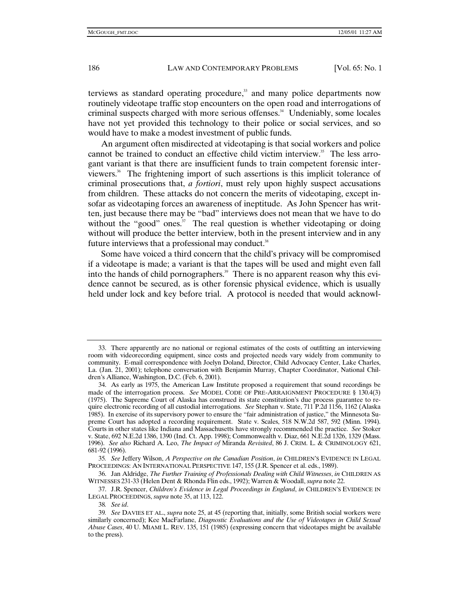terviews as standard operating procedure,<sup>33</sup> and many police departments now routinely videotape traffic stop encounters on the open road and interrogations of criminal suspects charged with more serious offenses.<sup>34</sup> Undeniably, some locales have not yet provided this technology to their police or social services, and so would have to make a modest investment of public funds.

An argument often misdirected at videotaping is that social workers and police cannot be trained to conduct an effective child victim interview.<sup>35</sup> The less arrogant variant is that there are insufficient funds to train competent forensic interviewers.36 The frightening import of such assertions is this implicit tolerance of criminal prosecutions that, *a fortiori*, must rely upon highly suspect accusations from children. These attacks do not concern the merits of videotaping, except insofar as videotaping forces an awareness of ineptitude. As John Spencer has written, just because there may be "bad" interviews does not mean that we have to do without the "good" ones. $37$  The real question is whether videotaping or doing without will produce the better interview, both in the present interview and in any future interviews that a professional may conduct.<sup>38</sup>

Some have voiced a third concern that the child's privacy will be compromised if a videotape is made; a variant is that the tapes will be used and might even fall into the hands of child pornographers.<sup>39</sup> There is no apparent reason why this evidence cannot be secured, as is other forensic physical evidence, which is usually held under lock and key before trial. A protocol is needed that would acknowl-

<sup>33.</sup> There apparently are no national or regional estimates of the costs of outfitting an interviewing room with videorecording equipment, since costs and projected needs vary widely from community to community. E-mail correspondence with Joelyn Doland, Director, Child Advocacy Center, Lake Charles, La. (Jan. 21, 2001); telephone conversation with Benjamin Murray, Chapter Coordinator, National Children's Alliance, Washington, D.C. (Feb. 6, 2001).

<sup>34.</sup> As early as 1975, the American Law Institute proposed a requirement that sound recordings be made of the interrogation process. *See* MODEL CODE OF PRE-ARRAIGNMENT PROCEDURE § 130.4(3) (1975). The Supreme Court of Alaska has construed its state constitution's due process guarantee to require electronic recording of all custodial interrogations. *See* Stephan v. State, 711 P.2d 1156, 1162 (Alaska 1985). In exercise of its supervisory power to ensure the "fair administration of justice," the Minnesota Supreme Court has adopted a recording requirement. State v. Scales, 518 N.W.2d 587, 592 (Minn. 1994). Courts in other states like Indiana and Massachusetts have strongly recommended the practice. *See* Stoker v. State, 692 N.E.2d 1386, 1390 (Ind. Ct. App. 1998); Commonwealth v. Diaz, 661 N.E.2d 1326, 1329 (Mass. 1996). *See also* Richard A. Leo, *The Impact of* Miranda *Revisited*, 86 J. CRIM. L. & CRIMINOLOGY 621, 681-92 (1996).

<sup>35</sup>*. See* Jeffery Wilson, *A Perspective on the Canadian Position*, *in* CHILDREN'S EVIDENCE IN LEGAL PROCEEDINGS: AN INTERNATIONAL PERSPECTIVE 147, 155 (J.R. Spencer et al. eds., 1989).

<sup>36.</sup> Jan Aldridge, *The Further Training of Professionals Dealing with Child Witnesses*, *in* CHILDREN AS WITNESSES 231-33 (Helen Dent & Rhonda Flin eds., 1992); Warren & Woodall, *supra* note 22.

<sup>37.</sup> J.R. Spencer, *Children's Evidence in Legal Proceedings in England*, *in* CHILDREN'S EVIDENCE IN LEGAL PROCEEDINGS, *supra* note 35, at 113, 122.

<sup>38</sup>*. See id*.

<sup>39</sup>*. See* DAVIES ET AL., *supra* note 25, at 45 (reporting that, initially, some British social workers were similarly concerned); Kee MacFarlane, *Diagnostic Evaluations and the Use of Videotapes in Child Sexual Abuse Cases*, 40 U. MIAMI L. REV. 135, 151 (1985) (expressing concern that videotapes might be available to the press).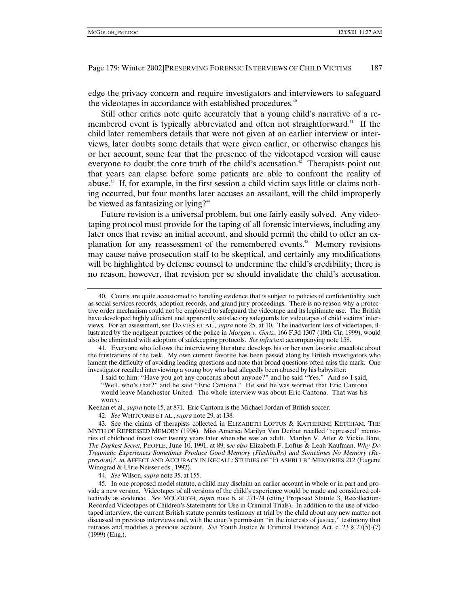edge the privacy concern and require investigators and interviewers to safeguard the videotapes in accordance with established procedures.<sup>40</sup>

Still other critics note quite accurately that a young child's narrative of a remembered event is typically abbreviated and often not straightforward.<sup>41</sup> If the child later remembers details that were not given at an earlier interview or interviews, later doubts some details that were given earlier, or otherwise changes his or her account, some fear that the presence of the videotaped version will cause everyone to doubt the core truth of the child's accusation.<sup>42</sup> Therapists point out that years can elapse before some patients are able to confront the reality of abuse.43 If, for example, in the first session a child victim says little or claims nothing occurred, but four months later accuses an assailant, will the child improperly be viewed as fantasizing or lying?<sup>44</sup>

Future revision is a universal problem, but one fairly easily solved. Any videotaping protocol must provide for the taping of all forensic interviews, including any later ones that revise an initial account, and should permit the child to offer an explanation for any reassessment of the remembered events.<sup>45</sup> Memory revisions may cause nave prosecution staff to be skeptical, and certainly any modifications will be highlighted by defense counsel to undermine the child's credibility; there is no reason, however, that revision per se should invalidate the child's accusation.

Keenan et al., *supra* note 15, at 871. Eric Cantona is the Michael Jordan of British soccer.

42*. See* WHITCOMB ET AL., *supra* note 29, at 138.

43. See the claims of therapists collected in ELIZABETH LOFTUS & KATHERINE KETCHAM, THE MYTH OF REPRESSED MEMORY (1994). Miss America Marilyn Van Derbur recalled "repressed" memories of childhood incest over twenty years later when she was an adult. Marilyn V. Atler & Vickie Bare, *The Darkest Secret*, PEOPLE, June 10, 1991, at 89; s*ee also* Elizabeth F. Loftus & Leah Kaufman, *Why Do Traumatic Experiences Sometimes Produce Good Memory (Flashbulbs) and Sometimes No Memory (Repression)?*, *in* AFFECT AND ACCURACY IN RECALL: STUDIES OF "FLASHBULB" MEMORIES 212 (Eugene Winograd & Ulrie Neisser eds., 1992).

44*. See* Wilson, *supra* note 35, at 155.

<sup>40.</sup> Courts are quite accustomed to handling evidence that is subject to policies of confidentiality, such as social services records, adoption records, and grand jury proceedings. There is no reason why a protective order mechanism could not be employed to safeguard the videotape and its legitimate use. The British have developed highly efficient and apparently satisfactory safeguards for videotapes of child victims' interviews. For an assessment, see DAVIES ET AL., *supra* note 25, at 10. The inadvertent loss of videotapes, illustrated by the negligent practices of the police in *Morgan v. Gertz*, 166 F.3d 1307 (10th Cir. 1999), would also be eliminated with adoption of safekeeping protocols. *See infra* text accompanying note 158.

<sup>41.</sup> Everyone who follows the interviewing literature develops his or her own favorite anecdote about the frustrations of the task. My own current favorite has been passed along by British investigators who lament the difficulty of avoiding leading questions and note that broad questions often miss the mark. One investigator recalled interviewing a young boy who had allegedly been abused by his babysitter:

I said to him: "Have you got any concerns about anyone?" and he said "Yes." And so I said, "Well, who's that?" and he said "Eric Cantona." He said he was worried that Eric Cantona would leave Manchester United. The whole interview was about Eric Cantona. That was his worry.

<sup>45.</sup> In one proposed model statute, a child may disclaim an earlier account in whole or in part and provide a new version. Videotapes of all versions of the child's experience would be made and considered collectively as evidence. *See* MCGOUGH, *supra* note 6, at 271-74 (citing Proposed Statute 3, Recollection-Recorded Videotapes of Children's Statements for Use in Criminal Trials). In addition to the use of videotaped interview, the current British statute permits testimony at trial by the child about any new matter not discussed in previous interviews and, with the court's permission "in the interests of justice," testimony that retraces and modifies a previous account. *See* Youth Justice & Criminal Evidence Act, c. 23 § 27(5)-(7) (1999) (Eng.).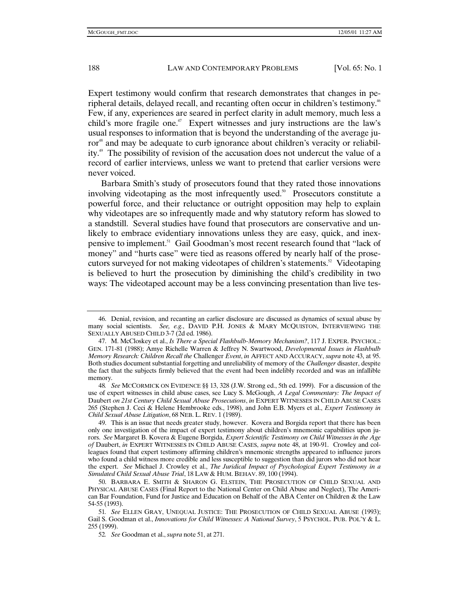Expert testimony would confirm that research demonstrates that changes in peripheral details, delayed recall, and recanting often occur in children's testimony.<sup>46</sup> Few, if any, experiences are seared in perfect clarity in adult memory, much less a child's more fragile one. $47$  Expert witnesses and jury instructions are the law's usual responses to information that is beyond the understanding of the average juror<sup>48</sup> and may be adequate to curb ignorance about children's veracity or reliability.49 The possibility of revision of the accusation does not undercut the value of a record of earlier interviews, unless we want to pretend that earlier versions were never voiced.

Barbara Smith's study of prosecutors found that they rated those innovations involving videotaping as the most infrequently used.<sup>50</sup> Prosecutors constitute a powerful force, and their reluctance or outright opposition may help to explain why videotapes are so infrequently made and why statutory reform has slowed to a standstill. Several studies have found that prosecutors are conservative and unlikely to embrace evidentiary innovations unless they are easy, quick, and inexpensive to implement.51 Gail Goodman's most recent research found that "lack of money" and "hurts case" were tied as reasons offered by nearly half of the prosecutors surveyed for not making videotapes of children's statements.<sup>52</sup> Videotaping is believed to hurt the prosecution by diminishing the child's credibility in two ways: The videotaped account may be a less convincing presentation than live tes-

48*. See* MCCORMICK ON EVIDENCE §§ 13, 328 (J.W. Strong ed., 5th ed. 1999). For a discussion of the use of expert witnesses in child abuse cases, see Lucy S. McGough, *A Legal Commentary: The Impact of* Daubert *on 21st Century Child Sexual Abuse Prosecutions*, *in* EXPERT WITNESSES IN CHILD ABUSE CASES 265 (Stephen J. Ceci & Helene Hembrooke eds., 1998), and John E.B. Myers et al., *Expert Testimony in Child Sexual Abuse Litigation*, 68 NEB. L. REV. 1 (1989).

<sup>46.</sup> Denial, revision, and recanting an earlier disclosure are discussed as dynamics of sexual abuse by many social scientists. *See, e.g.*, DAVID P.H. JONES & MARY MCQUISTON, INTERVIEWING THE SEXUALLY ABUSED CHILD 3-7 (2d ed. 1986).

<sup>47.</sup> M. McCloskey et al., *Is There a Special Flashbulb-Memory Mechanism?*, 117 J. EXPER. PSYCHOL.: GEN. 171-81 (1988); Amye Richelle Warren & Jeffrey N. Swartwood, *Developmental Issues in Flashbulb Memory Research: Children Recall the* Challenger *Event*, *in* AFFECT AND ACCURACY, *supra* note 43, at 95. Both studies document substantial forgetting and unreliability of memory of the *Challenger* disaster, despite the fact that the subjects firmly believed that the event had been indelibly recorded and was an infallible memory.

<sup>49.</sup> This is an issue that needs greater study, however. Kovera and Borgida report that there has been only one investigation of the impact of expert testimony about children's mnemonic capabilities upon jurors. *See* Margaret B. Kovera & Eugene Borgida, *Expert Scientific Testimony on Child Witnesses in the Age of* Daubert, *in* EXPERT WITNESSES IN CHILD ABUSE CASES, *supra* note 48, at 190-91. Crowley and colleagues found that expert testimony affirming children's mnemonic strengths appeared to influence jurors who found a child witness more credible and less susceptible to suggestion than did jurors who did not hear the expert. *See* Michael J. Crowley et al., *The Juridical Impact of Psychological Expert Testimony in a Simulated Child Sexual Abuse Trial*, 18 LAW & HUM. BEHAV. 89, 100 (1994).

<sup>50.</sup> BARBARA E. SMITH & SHARON G. ELSTEIN, THE PROSECUTION OF CHILD SEXUAL AND PHYSICAL ABUSE CASES (Final Report to the National Center on Child Abuse and Neglect), The American Bar Foundation, Fund for Justice and Education on Behalf of the ABA Center on Children & the Law 54-55 (1993).

<sup>51</sup>*. See* ELLEN GRAY, UNEQUAL JUSTICE: THE PROSECUTION OF CHILD SEXUAL ABUSE (1993); Gail S. Goodman et al., *Innovations for Child Witnesses: A National Survey*, 5 PSYCHOL. PUB. POL'Y & L. 255 (1999).

<sup>52</sup>*. See* Goodman et al., *supra* note 51, at 271.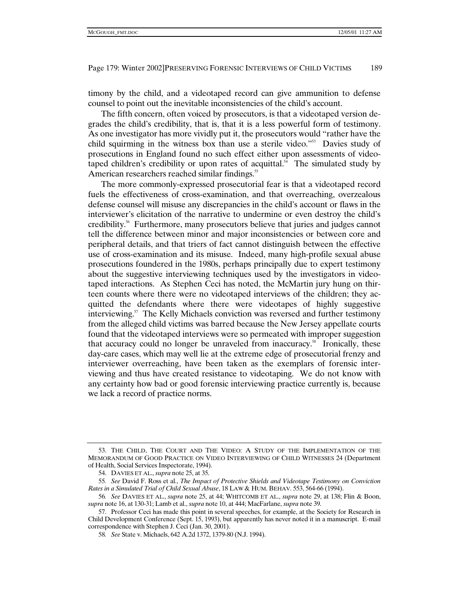timony by the child, and a videotaped record can give ammunition to defense counsel to point out the inevitable inconsistencies of the child's account.

The fifth concern, often voiced by prosecutors, is that a videotaped version degrades the child's credibility, that is, that it is a less powerful form of testimony. As one investigator has more vividly put it, the prosecutors would "rather have the child squirming in the witness box than use a sterile video."<sup>53</sup> Davies study of prosecutions in England found no such effect either upon assessments of videotaped children's credibility or upon rates of acquittal.<sup>54</sup> The simulated study by American researchers reached similar findings.<sup>55</sup>

The more commonly-expressed prosecutorial fear is that a videotaped record fuels the effectiveness of cross-examination, and that overreaching, overzealous defense counsel will misuse any discrepancies in the child's account or flaws in the interviewer's elicitation of the narrative to undermine or even destroy the child's credibility.56 Furthermore, many prosecutors believe that juries and judges cannot tell the difference between minor and major inconsistencies or between core and peripheral details, and that triers of fact cannot distinguish between the effective use of cross-examination and its misuse. Indeed, many high-profile sexual abuse prosecutions foundered in the 1980s, perhaps principally due to expert testimony about the suggestive interviewing techniques used by the investigators in videotaped interactions. As Stephen Ceci has noted, the McMartin jury hung on thirteen counts where there were no videotaped interviews of the children; they acquitted the defendants where there were videotapes of highly suggestive interviewing. $57$  The Kelly Michaels conviction was reversed and further testimony from the alleged child victims was barred because the New Jersey appellate courts found that the videotaped interviews were so permeated with improper suggestion that accuracy could no longer be unraveled from inaccuracy.<sup>58</sup> Ironically, these day-care cases, which may well lie at the extreme edge of prosecutorial frenzy and interviewer overreaching, have been taken as the exemplars of forensic interviewing and thus have created resistance to videotaping. We do not know with any certainty how bad or good forensic interviewing practice currently is, because we lack a record of practice norms.

<sup>53.</sup> THE CHILD, THE COURT AND THE VIDEO: A STUDY OF THE IMPLEMENTATION OF THE MEMORANDUM OF GOOD PRACTICE ON VIDEO INTERVIEWING OF CHILD WITNESSES 24 (Department of Health, Social Services Inspectorate, 1994).

<sup>54.</sup> DAVIES ET AL., *supra* note 25, at 35.

<sup>55</sup>*. See* David F. Ross et al., *The Impact of Protective Shields and Videotape Testimony on Conviction Rates in a Simulated Trial of Child Sexual Abuse*, 18 LAW & HUM. BEHAV. 553, 564-66 (1994).

<sup>56</sup>*. See* DAVIES ET AL., *supra* note 25, at 44; WHITCOMB ET AL., *supra* note 29, at 138; Flin & Boon, *supra* note 16, at 130-31; Lamb et al., *supra* note 10, at 444; MacFarlane, *supra* note 39.

<sup>57.</sup> Professor Ceci has made this point in several speeches, for example, at the Society for Research in Child Development Conference (Sept. 15, 1993), but apparently has never noted it in a manuscript. E-mail correspondence with Stephen J. Ceci (Jan. 30, 2001).

<sup>58</sup>*. See* State v. Michaels, 642 A.2d 1372, 1379-80 (N.J. 1994).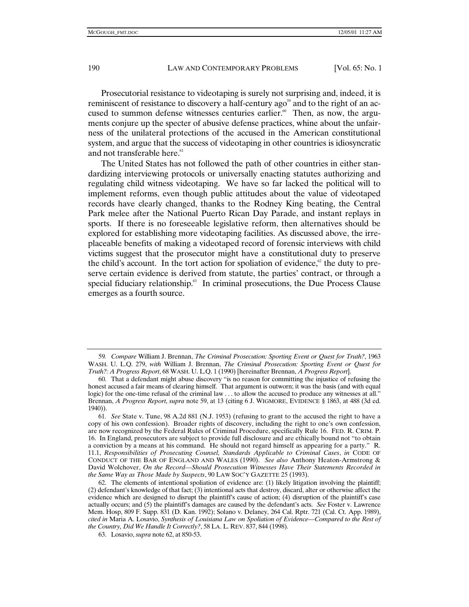Prosecutorial resistance to videotaping is surely not surprising and, indeed, it is reminiscent of resistance to discovery a half-century ago<sup>59</sup> and to the right of an accused to summon defense witnesses centuries earlier. $60$  Then, as now, the arguments conjure up the specter of abusive defense practices, whine about the unfairness of the unilateral protections of the accused in the American constitutional system, and argue that the success of videotaping in other countries is idiosyncratic and not transferable here.<sup>61</sup>

The United States has not followed the path of other countries in either standardizing interviewing protocols or universally enacting statutes authorizing and regulating child witness videotaping. We have so far lacked the political will to implement reforms, even though public attitudes about the value of videotaped records have clearly changed, thanks to the Rodney King beating, the Central Park melee after the National Puerto Rican Day Parade, and instant replays in sports. If there is no foreseeable legislative reform, then alternatives should be explored for establishing more videotaping facilities. As discussed above, the irreplaceable benefits of making a videotaped record of forensic interviews with child victims suggest that the prosecutor might have a constitutional duty to preserve the child's account. In the tort action for spoliation of evidence, $\mathscr{C}$  the duty to preserve certain evidence is derived from statute, the parties' contract, or through a special fiduciary relationship. $63$  In criminal prosecutions, the Due Process Clause emerges as a fourth source.

<sup>59</sup>*. Compare* William J. Brennan, *The Criminal Prosecution: Sporting Event or Quest for Truth?*, 1963 WASH. U. L.Q. 279, *with* William J. Brennan, *The Criminal Prosecution: Sporting Event or Quest for Truth?: A Progress Report*, 68 WASH. U. L.Q. 1 (1990) [hereinafter Brennan, *A Progress Report*].

<sup>60.</sup> That a defendant might abuse discovery "is no reason for committing the injustice of refusing the honest accused a fair means of clearing himself. That argument is outworn; it was the basis (and with equal logic) for the one-time refusal of the criminal law . . . to allow the accused to produce any witnesses at all." Brennan, *A Progress Report*, *supra* note 59, at 13 (citing 6 J. WIGMORE, EVIDENCE § 1863, at 488 (3d ed. 1940)).

<sup>61</sup>*. See* State v. Tune, 98 A.2d 881 (N.J. 1953) (refusing to grant to the accused the right to have a copy of his own confession). Broader rights of discovery, including the right to one's own confession, are now recognized by the Federal Rules of Criminal Procedure, specifically Rule 16. FED. R. CRIM. P. 16. In England, prosecutors are subject to provide full disclosure and are ethically bound not "to obtain a conviction by a means at his command. He should not regard himself as appearing for a party." R. 11.1, *Responsibilities of Prosecuting Counsel, Standards Applicable to Criminal Cases*, *in* CODE OF CONDUCT OF THE BAR OF ENGLAND AND WALES (1990). *See also* Anthony Heaton-Armstrong & David Wolchover, *On the Record—Should Prosecution Witnesses Have Their Statements Recorded in the Same Way as Those Made by Suspects*, 90 LAW SOC'Y GAZETTE 25 (1993).

<sup>62.</sup> The elements of intentional spoliation of evidence are: (1) likely litigation involving the plaintiff; (2) defendant's knowledge of that fact; (3) intentional acts that destroy, discard, alter or otherwise affect the evidence which are designed to disrupt the plaintiff's cause of action; (4) disruption of the plaintiff's case actually occurs; and (5) the plaintiff's damages are caused by the defendant's acts. *See* Foster v. Lawrence Mem. Hosp, 809 F. Supp. 831 (D. Kan. 1992); Solano v. Delaney, 264 Cal. Rptr. 721 (Cal. Ct. App. 1989), *cited in* Maria A. Losavio, *Synthesis of Louisiana Law on Spoliation of Evidence—Compared to the Rest of the Country, Did We Handle It Correctly?*, 58 LA. L. REV. 837, 844 (1998).

<sup>63.</sup> Losavio, *supra* note 62, at 850-53.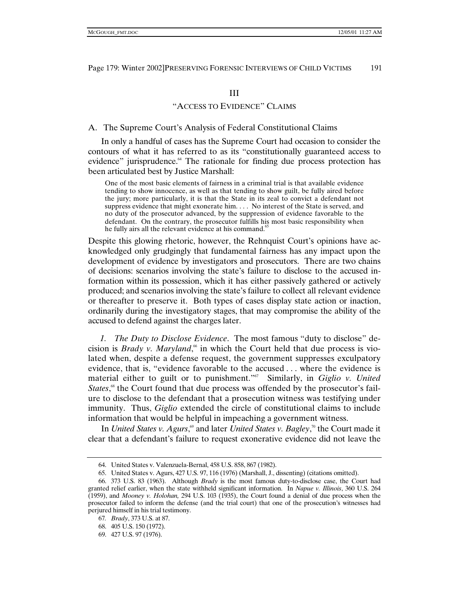#### "ACCESS TO EVIDENCE" CLAIMS

#### A. The Supreme Court's Analysis of Federal Constitutional Claims

In only a handful of cases has the Supreme Court had occasion to consider the contours of what it has referred to as its "constitutionally guaranteed access to evidence" jurisprudence.<sup>64</sup> The rationale for finding due process protection has been articulated best by Justice Marshall:

One of the most basic elements of fairness in a criminal trial is that available evidence tending to show innocence, as well as that tending to show guilt, be fully aired before the jury; more particularly, it is that the State in its zeal to convict a defendant not suppress evidence that might exonerate him. . . . No interest of the State is served, and no duty of the prosecutor advanced, by the suppression of evidence favorable to the defendant. On the contrary, the prosecutor fulfills his most basic responsibility when he fully airs all the relevant evidence at his command.<sup>6</sup>

Despite this glowing rhetoric, however, the Rehnquist Court's opinions have acknowledged only grudgingly that fundamental fairness has any impact upon the development of evidence by investigators and prosecutors. There are two chains of decisions: scenarios involving the state's failure to disclose to the accused information within its possession, which it has either passively gathered or actively produced; and scenarios involving the state's failure to collect all relevant evidence or thereafter to preserve it. Both types of cases display state action or inaction, ordinarily during the investigatory stages, that may compromise the ability of the accused to defend against the charges later.

*1. The Duty to Disclose Evidence*. The most famous "duty to disclose" decision is *Brady v. Maryland*,<sup>66</sup> in which the Court held that due process is violated when, despite a defense request, the government suppresses exculpatory evidence, that is, "evidence favorable to the accused . . . where the evidence is material either to guilt or to punishment."67 Similarly, in *Giglio v. United* States,<sup>®</sup> the Court found that due process was offended by the prosecutor's failure to disclose to the defendant that a prosecution witness was testifying under immunity. Thus, *Giglio* extended the circle of constitutional claims to include information that would be helpful in impeaching a government witness.

In *United States v. Agurs*,<sup>69</sup> and later *United States v. Bagley*,<sup>70</sup> the Court made it clear that a defendant's failure to request exonerative evidence did not leave the

<sup>64.</sup> United States v. Valenzuela-Bernal, 458 U.S. 858, 867 (1982).

<sup>65.</sup> United States v. Agurs, 427 U.S. 97, 116 (1976) (Marshall, J., dissenting) (citations omitted).

<sup>66. 373</sup> U.S. 83 (1963). Although *Brady* is the most famous duty-to-disclose case, the Court had granted relief earlier, when the state withheld significant information. In *Napue v. Illinois*, 360 U.S. 264 (1959), and *Mooney v. Holohan,* 294 U.S. 103 (1935), the Court found a denial of due process when the prosecutor failed to inform the defense (and the trial court) that one of the prosecution's witnesses had perjured himself in his trial testimony.

<sup>67</sup>*. Brady*, 373 U.S. at 87.

<sup>68. 405</sup> U.S. 150 (1972).

<sup>69. 427</sup> U.S. 97 (1976).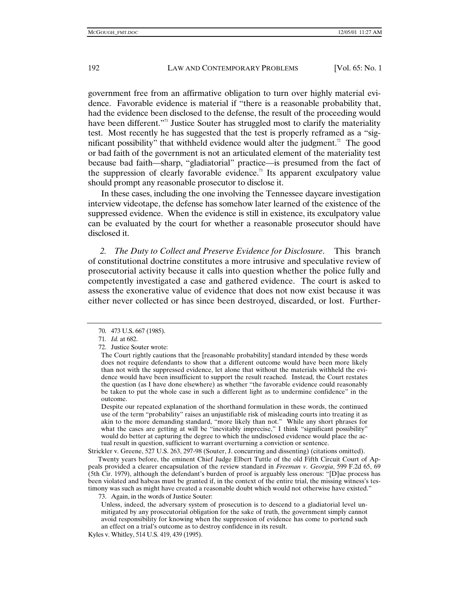government free from an affirmative obligation to turn over highly material evidence. Favorable evidence is material if "there is a reasonable probability that, had the evidence been disclosed to the defense, the result of the proceeding would have been different.<sup>"71</sup> Justice Souter has struggled most to clarify the materiality test. Most recently he has suggested that the test is properly reframed as a "significant possibility" that withheld evidence would alter the judgment.<sup> $\alpha$ </sup> The good or bad faith of the government is not an articulated element of the materiality test because bad faith—sharp, "gladiatorial" practice—is presumed from the fact of the suppression of clearly favorable evidence.<sup>73</sup> Its apparent exculpatory value should prompt any reasonable prosecutor to disclose it.

In these cases, including the one involving the Tennessee daycare investigation interview videotape, the defense has somehow later learned of the existence of the suppressed evidence. When the evidence is still in existence, its exculpatory value can be evaluated by the court for whether a reasonable prosecutor should have disclosed it.

*2. The Duty to Collect and Preserve Evidence for Disclosure*. This branch of constitutional doctrine constitutes a more intrusive and speculative review of prosecutorial activity because it calls into question whether the police fully and competently investigated a case and gathered evidence. The court is asked to assess the exonerative value of evidence that does not now exist because it was either never collected or has since been destroyed, discarded, or lost. Further-

Despite our repeated explanation of the shorthand formulation in these words, the continued use of the term "probability" raises an unjustifiable risk of misleading courts into treating it as akin to the more demanding standard, "more likely than not." While any short phrases for what the cases are getting at will be "inevitably imprecise," I think "significant possibility" would do better at capturing the degree to which the undisclosed evidence would place the actual result in question, sufficient to warrant overturning a conviction or sentence.

Strickler v. Greene, 527 U.S. 263, 297-98 (Souter, J. concurring and dissenting) (citations omitted).

Twenty years before, the eminent Chief Judge Elbert Tuttle of the old Fifth Circuit Court of Appeals provided a clearer encapsulation of the review standard in *Freeman v. Georgia*, 599 F.2d 65, 69 (5th Cir. 1979), although the defendant's burden of proof is arguably less onerous: "[D]ue process has been violated and habeas must be granted if, in the context of the entire trial, the missing witness's testimony was such as might have created a reasonable doubt which would not otherwise have existed."

73. Again, in the words of Justice Souter:

Unless, indeed, the adversary system of prosecution is to descend to a gladiatorial level unmitigated by any prosecutorial obligation for the sake of truth, the government simply cannot avoid responsibility for knowing when the suppression of evidence has come to portend such an effect on a trial's outcome as to destroy confidence in its result.

Kyles v. Whitley, 514 U.S. 419, 439 (1995).

<sup>70. 473</sup> U.S. 667 (1985).

<sup>71</sup>*. Id.* at 682.

<sup>72.</sup> Justice Souter wrote:

The Court rightly cautions that the [reasonable probability] standard intended by these words does not require defendants to show that a different outcome would have been more likely than not with the suppressed evidence, let alone that without the materials withheld the evidence would have been insufficient to support the result reached. Instead, the Court restates the question (as I have done elsewhere) as whether "the favorable evidence could reasonably be taken to put the whole case in such a different light as to undermine confidence" in the outcome.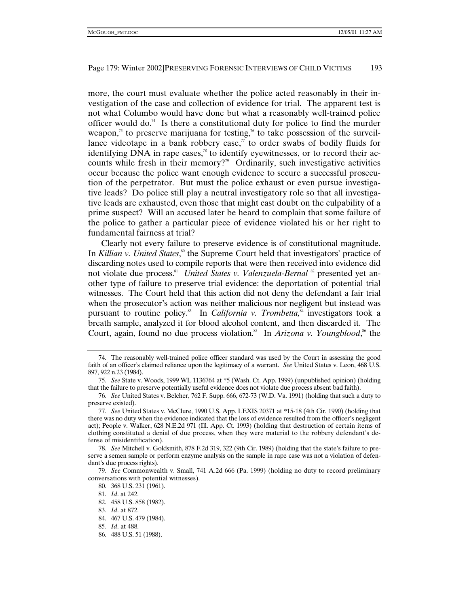more, the court must evaluate whether the police acted reasonably in their investigation of the case and collection of evidence for trial. The apparent test is not what Columbo would have done but what a reasonably well-trained police officer would do. $74$  Is there a constitutional duty for police to find the murder weapon, $\frac{75}{10}$  to preserve marijuana for testing,<sup>76</sup> to take possession of the surveillance videotape in a bank robbery case,<sup> $\overline{7}$ </sup> to order swabs of bodily fluids for identifying DNA in rape cases, $\frac{8}{3}$  to identify eyewitnesses, or to record their accounts while fresh in their memory?<sup>79</sup> Ordinarily, such investigative activities occur because the police want enough evidence to secure a successful prosecution of the perpetrator. But must the police exhaust or even pursue investigative leads? Do police still play a neutral investigatory role so that all investigative leads are exhausted, even those that might cast doubt on the culpability of a prime suspect? Will an accused later be heard to complain that some failure of the police to gather a particular piece of evidence violated his or her right to fundamental fairness at trial?

Clearly not every failure to preserve evidence is of constitutional magnitude. In *Killian v. United States*,<sup>80</sup> the Supreme Court held that investigators' practice of discarding notes used to compile reports that were then received into evidence did not violate due process.<sup>81</sup> *United States v. Valenzuela-Bernal* <sup>82</sup> presented yet another type of failure to preserve trial evidence: the deportation of potential trial witnesses. The Court held that this action did not deny the defendant a fair trial when the prosecutor's action was neither malicious nor negligent but instead was pursuant to routine policy.83 In *California v. Trombetta,*84 investigators took a breath sample, analyzed it for blood alcohol content, and then discarded it. The Court, again, found no due process violation.<sup>85</sup> In *Arizona v. Youngblood*,<sup>86</sup> the

<sup>74.</sup> The reasonably well-trained police officer standard was used by the Court in assessing the good faith of an officer's claimed reliance upon the legitimacy of a warrant. *See* United States v. Leon, 468 U.S. 897, 922 n.23 (1984).

<sup>75</sup>*. See* State v. Woods, 1999 WL 1136764 at \*5 (Wash. Ct. App. 1999) (unpublished opinion) (holding that the failure to preserve potentially useful evidence does not violate due process absent bad faith).

<sup>76</sup>*. See* United States v. Belcher, 762 F. Supp. 666, 672-73 (W.D. Va. 1991) (holding that such a duty to preserve existed).

<sup>77</sup>*. See* United States v. McClure, 1990 U.S. App. LEXIS 20371 at \*15-18 (4th Cir. 1990) (holding that there was no duty when the evidence indicated that the loss of evidence resulted from the officer's negligent act); People v. Walker, 628 N.E.2d 971 (Ill. App. Ct. 1993) (holding that destruction of certain items of clothing constituted a denial of due process, when they were material to the robbery defendant's defense of misidentification).

<sup>78</sup>*. See* Mitchell v. Goldsmith, 878 F.2d 319, 322 (9th Cir. 1989) (holding that the state's failure to preserve a semen sample or perform enzyme analysis on the sample in rape case was not a violation of defendant's due process rights).

<sup>79</sup>*. See* Commonwealth v. Small, 741 A.2d 666 (Pa. 1999) (holding no duty to record preliminary conversations with potential witnesses).

<sup>80. 368</sup> U.S. 231 (1961).

<sup>81</sup>*. Id*. at 242.

<sup>82. 458</sup> U.S. 858 (1982).

<sup>83</sup>*. Id*. at 872.

<sup>84. 467</sup> U.S. 479 (1984).

<sup>85</sup>*. Id*. at 488.

<sup>86. 488</sup> U.S. 51 (1988).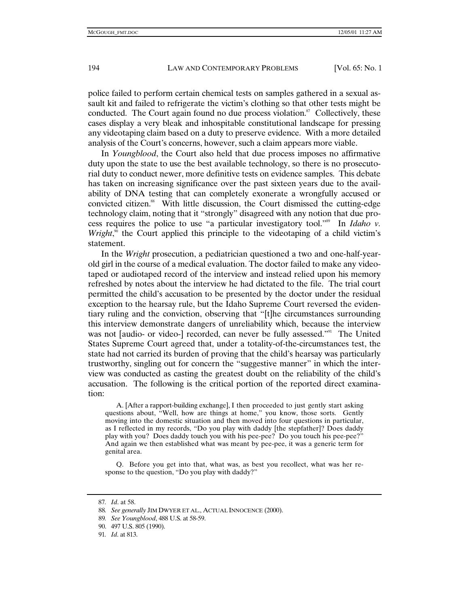police failed to perform certain chemical tests on samples gathered in a sexual assault kit and failed to refrigerate the victim's clothing so that other tests might be conducted. The Court again found no due process violation. $\delta$ <sup>7</sup> Collectively, these cases display a very bleak and inhospitable constitutional landscape for pressing any videotaping claim based on a duty to preserve evidence. With a more detailed analysis of the Court's concerns, however, such a claim appears more viable.

In *Youngblood*, the Court also held that due process imposes no affirmative duty upon the state to use the best available technology, so there is no prosecutorial duty to conduct newer, more definitive tests on evidence samples. This debate has taken on increasing significance over the past sixteen years due to the availability of DNA testing that can completely exonerate a wrongfully accused or convicted citizen.<sup>88</sup> With little discussion, the Court dismissed the cutting-edge technology claim, noting that it "strongly" disagreed with any notion that due process requires the police to use "a particular investigatory tool."<sup>89</sup> In *Idaho v*. *Wright*,<sup>®</sup> the Court applied this principle to the videotaping of a child victim's statement.

In the *Wright* prosecution, a pediatrician questioned a two and one-half-yearold girl in the course of a medical evaluation. The doctor failed to make any videotaped or audiotaped record of the interview and instead relied upon his memory refreshed by notes about the interview he had dictated to the file. The trial court permitted the child's accusation to be presented by the doctor under the residual exception to the hearsay rule, but the Idaho Supreme Court reversed the evidentiary ruling and the conviction, observing that "[t]he circumstances surrounding this interview demonstrate dangers of unreliability which, because the interview was not [audio- or video-] recorded, can never be fully assessed."<sup>91</sup> The United States Supreme Court agreed that, under a totality-of-the-circumstances test, the state had not carried its burden of proving that the child's hearsay was particularly trustworthy, singling out for concern the "suggestive manner" in which the interview was conducted as casting the greatest doubt on the reliability of the child's accusation. The following is the critical portion of the reported direct examination:

A. [After a rapport-building exchange], I then proceeded to just gently start asking questions about, "Well, how are things at home," you know, those sorts. Gently moving into the domestic situation and then moved into four questions in particular, as I reflected in my records, "Do you play with daddy [the stepfather]? Does daddy play with you? Does daddy touch you with his pee-pee? Do you touch his pee-pee?" And again we then established what was meant by pee-pee, it was a generic term for genital area.

Q. Before you get into that, what was, as best you recollect, what was her response to the question, "Do you play with daddy?"

<sup>87</sup>*. Id*. at 58.

<sup>88</sup>*. See generally* JIM DWYER ET AL., ACTUAL INNOCENCE (2000).

<sup>89</sup>*. See Youngblood*, 488 U.S. at 58-59.

<sup>90. 497</sup> U.S. 805 (1990).

<sup>91</sup>*. Id*. at 813.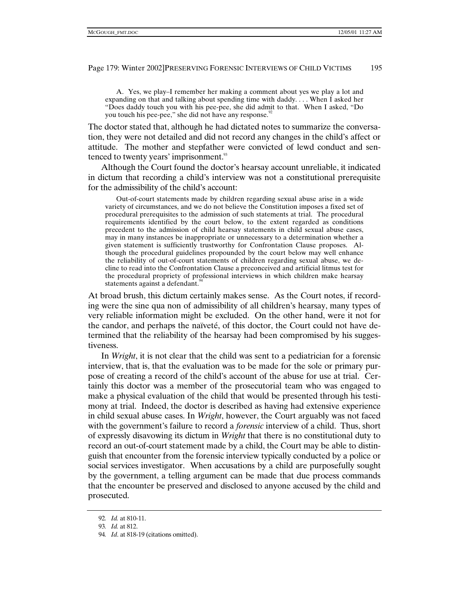A. Yes, we play–I remember her making a comment about yes we play a lot and expanding on that and talking about spending time with daddy. . . . When I asked her "Does daddy touch you with his pee-pee, she did admit to that. When I asked, "Do you touch his pee-pee," she did not have any response."

The doctor stated that, although he had dictated notes to summarize the conversation, they were not detailed and did not record any changes in the child's affect or attitude. The mother and stepfather were convicted of lewd conduct and sentenced to twenty years' imprisonment.<sup>93</sup>

Although the Court found the doctor's hearsay account unreliable, it indicated in dictum that recording a child's interview was not a constitutional prerequisite for the admissibility of the child's account:

Out-of-court statements made by children regarding sexual abuse arise in a wide variety of circumstances, and we do not believe the Constitution imposes a fixed set of procedural prerequisites to the admission of such statements at trial. The procedural requirements identified by the court below, to the extent regarded as conditions precedent to the admission of child hearsay statements in child sexual abuse cases, may in many instances be inappropriate or unnecessary to a determination whether a given statement is sufficiently trustworthy for Confrontation Clause proposes. Although the procedural guidelines propounded by the court below may well enhance the reliability of out-of-court statements of children regarding sexual abuse, we decline to read into the Confrontation Clause a preconceived and artificial litmus test for the procedural propriety of professional interviews in which children make hearsay statements against a defendant.<sup>94</sup>

At broad brush, this dictum certainly makes sense. As the Court notes, if recording were the sine qua non of admissibility of all children's hearsay, many types of very reliable information might be excluded. On the other hand, were it not for the candor, and perhaps the naïveté, of this doctor, the Court could not have determined that the reliability of the hearsay had been compromised by his suggestiveness.

In *Wright*, it is not clear that the child was sent to a pediatrician for a forensic interview, that is, that the evaluation was to be made for the sole or primary purpose of creating a record of the child's account of the abuse for use at trial. Certainly this doctor was a member of the prosecutorial team who was engaged to make a physical evaluation of the child that would be presented through his testimony at trial. Indeed, the doctor is described as having had extensive experience in child sexual abuse cases. In *Wright*, however, the Court arguably was not faced with the government's failure to record a *forensic* interview of a child. Thus, short of expressly disavowing its dictum in *Wright* that there is no constitutional duty to record an out-of-court statement made by a child, the Court may be able to distinguish that encounter from the forensic interview typically conducted by a police or social services investigator. When accusations by a child are purposefully sought by the government, a telling argument can be made that due process commands that the encounter be preserved and disclosed to anyone accused by the child and prosecuted.

<sup>92</sup>*. Id.* at 810-11.

<sup>93</sup>*. Id.* at 812.

<sup>94</sup>*. Id*. at 818-19 (citations omitted).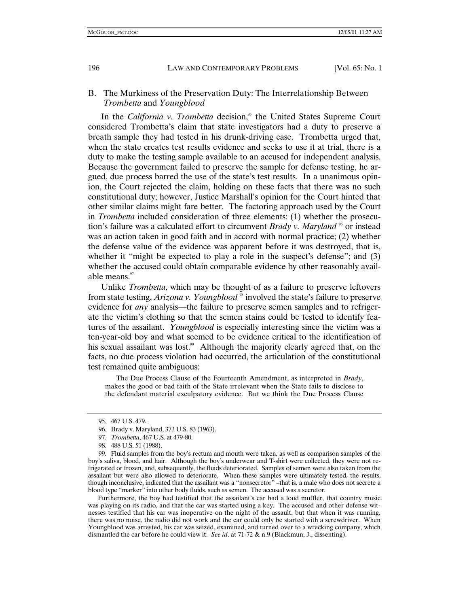# B. The Murkiness of the Preservation Duty: The Interrelationship Between *Trombetta* and *Youngblood*

In the *California v. Trombetta* decision,<sup>95</sup> the United States Supreme Court considered Trombetta's claim that state investigators had a duty to preserve a breath sample they had tested in his drunk-driving case. Trombetta urged that, when the state creates test results evidence and seeks to use it at trial, there is a duty to make the testing sample available to an accused for independent analysis. Because the government failed to preserve the sample for defense testing, he argued, due process barred the use of the state's test results. In a unanimous opinion, the Court rejected the claim, holding on these facts that there was no such constitutional duty; however, Justice Marshall's opinion for the Court hinted that other similar claims might fare better. The factoring approach used by the Court in *Trombetta* included consideration of three elements: (1) whether the prosecution's failure was a calculated effort to circumvent *Brady v. Maryland* <sup>96</sup> or instead was an action taken in good faith and in accord with normal practice; (2) whether the defense value of the evidence was apparent before it was destroyed, that is, whether it "might be expected to play a role in the suspect's defense"; and (3) whether the accused could obtain comparable evidence by other reasonably available means.<sup>97</sup>

Unlike *Trombetta*, which may be thought of as a failure to preserve leftovers from state testing, *Arizona v. Youngblood* <sup>88</sup> involved the state's failure to preserve evidence for *any* analysis—the failure to preserve semen samples and to refrigerate the victim's clothing so that the semen stains could be tested to identify features of the assailant. *Youngblood* is especially interesting since the victim was a ten-year-old boy and what seemed to be evidence critical to the identification of his sexual assailant was lost.<sup>99</sup> Although the majority clearly agreed that, on the facts, no due process violation had occurred, the articulation of the constitutional test remained quite ambiguous:

The Due Process Clause of the Fourteenth Amendment, as interpreted in *Brady*, makes the good or bad faith of the State irrelevant when the State fails to disclose to the defendant material exculpatory evidence. But we think the Due Process Clause

Furthermore, the boy had testified that the assailant's car had a loud muffler, that country music was playing on its radio, and that the car was started using a key. The accused and other defense witnesses testified that his car was inoperative on the night of the assault, but that when it was running, there was no noise, the radio did not work and the car could only be started with a screwdriver. When Youngblood was arrested, his car was seized, examined, and turned over to a wrecking company, which dismantled the car before he could view it. *See id*. at 71-72 & n.9 (Blackmun, J., dissenting).

<sup>95. 467</sup> U.S. 479.

<sup>96.</sup> Brady v. Maryland, 373 U.S. 83 (1963).

<sup>97</sup>*. Trombetta*, 467 U.S. at 479-80.

<sup>98. 488</sup> U.S. 51 (1988).

<sup>99.</sup> Fluid samples from the boy's rectum and mouth were taken, as well as comparison samples of the boy's saliva, blood, and hair. Although the boy's underwear and T-shirt were collected, they were not refrigerated or frozen, and, subsequently, the fluids deteriorated. Samples of semen were also taken from the assailant but were also allowed to deteriorate. When these samples were ultimately tested, the results, though inconclusive, indicated that the assailant was a "nonsecretor" –that is, a male who does not secrete a blood type "marker" into other body fluids, such as semen. The accused was a secretor.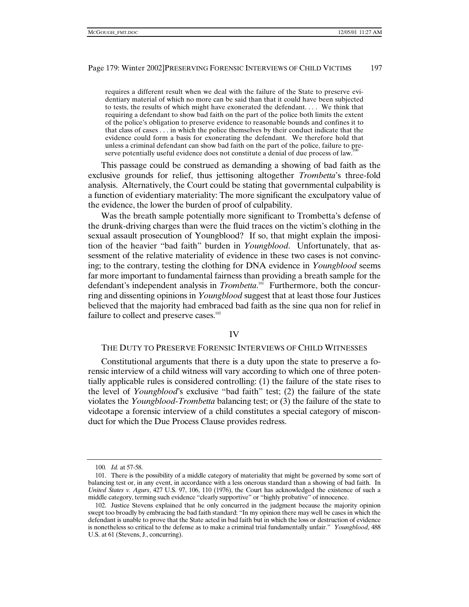requires a different result when we deal with the failure of the State to preserve evidentiary material of which no more can be said than that it could have been subjected to tests, the results of which might have exonerated the defendant. . . . We think that requiring a defendant to show bad faith on the part of the police both limits the extent of the police's obligation to preserve evidence to reasonable bounds and confines it to that class of cases . . . in which the police themselves by their conduct indicate that the evidence could form a basis for exonerating the defendant. We therefore hold that unless a criminal defendant can show bad faith on the part of the police, failure to preserve potentially useful evidence does not constitute a denial of due process of law.<sup>1</sup>

This passage could be construed as demanding a showing of bad faith as the exclusive grounds for relief, thus jettisoning altogether *Trombetta*'s three-fold analysis. Alternatively, the Court could be stating that governmental culpability is a function of evidentiary materiality: The more significant the exculpatory value of the evidence, the lower the burden of proof of culpability.

Was the breath sample potentially more significant to Trombetta's defense of the drunk-driving charges than were the fluid traces on the victim's clothing in the sexual assault prosecution of Youngblood? If so, that might explain the imposition of the heavier "bad faith" burden in *Youngblood*. Unfortunately, that assessment of the relative materiality of evidence in these two cases is not convincing; to the contrary, testing the clothing for DNA evidence in *Youngblood* seems far more important to fundamental fairness than providing a breath sample for the defendant's independent analysis in *Trombetta*.<sup>101</sup> Furthermore, both the concurring and dissenting opinions in *Youngblood* suggest that at least those four Justices believed that the majority had embraced bad faith as the sine qua non for relief in failure to collect and preserve cases.<sup>102</sup>

## IV

## THE DUTY TO PRESERVE FORENSIC INTERVIEWS OF CHILD WITNESSES

Constitutional arguments that there is a duty upon the state to preserve a forensic interview of a child witness will vary according to which one of three potentially applicable rules is considered controlling: (1) the failure of the state rises to the level of *Youngblood*'s exclusive "bad faith" test; (2) the failure of the state violates the *Youngblood-Trombetta* balancing test; or (3) the failure of the state to videotape a forensic interview of a child constitutes a special category of misconduct for which the Due Process Clause provides redress.

<sup>100</sup>*. Id.* at 57-58.

<sup>101.</sup> There is the possibility of a middle category of materiality that might be governed by some sort of balancing test or, in any event, in accordance with a less onerous standard than a showing of bad faith. In *United States v. Agurs*, 427 U.S. 97, 106, 110 (1976), the Court has acknowledged the existence of such a middle category, terming such evidence "clearly supportive" or "highly probative" of innocence.

<sup>102.</sup> Justice Stevens explained that he only concurred in the judgment because the majority opinion swept too broadly by embracing the bad faith standard: "In my opinion there may well be cases in which the defendant is unable to prove that the State acted in bad faith but in which the loss or destruction of evidence is nonetheless so critical to the defense as to make a criminal trial fundamentally unfair." *Youngblood*, 488 U.S. at 61 (Stevens, J., concurring).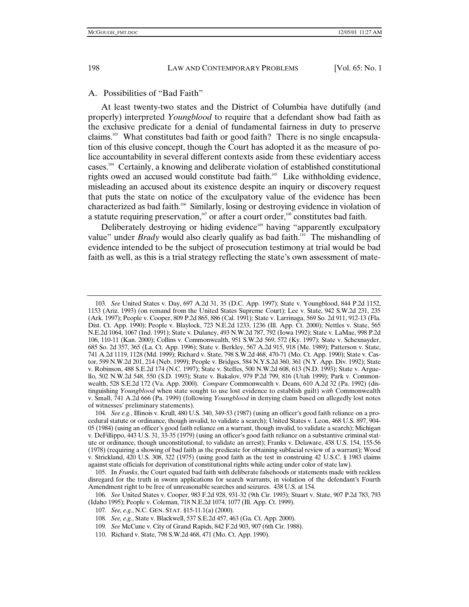### A. Possibilities of "Bad Faith"

At least twenty-two states and the District of Columbia have dutifully (and properly) interpreted *Youngblood* to require that a defendant show bad faith as the exclusive predicate for a denial of fundamental fairness in duty to preserve claims.103 What constitutes bad faith or good faith? There is no single encapsulation of this elusive concept, though the Court has adopted it as the measure of police accountability in several different contexts aside from these evidentiary access  $cases.<sup>104</sup>$  Certainly, a knowing and deliberate violation of established constitutional rights owed an accused would constitute bad faith.105 Like withholding evidence, misleading an accused about its existence despite an inquiry or discovery request that puts the state on notice of the exculpatory value of the evidence has been characterized as bad faith.<sup>106</sup> Similarly, losing or destroying evidence in violation of a statute requiring preservation,<sup>107</sup> or after a court order,<sup>108</sup> constitutes bad faith.

Deliberately destroying or hiding evidence<sup>109</sup> having "apparently exculpatory" value" under *Brady* would also clearly qualify as bad faith.<sup>110</sup> The mishandling of evidence intended to be the subject of prosecution testimony at trial would be bad faith as well, as this is a trial strategy reflecting the state's own assessment of mate-

<sup>103</sup>*. See* United States v. Day, 697 A.2d 31, 35 (D.C. App. 1997); State v. Youngblood, 844 P.2d 1152, 1153 (Ariz. 1993) (on remand from the United States Supreme Court); Lee v. State, 942 S.W.2d 231, 235 (Ark. 1997); People v. Cooper, 809 P.2d 865, 886 (Cal. 1991); State v. Larrinaga, 569 So. 2d 911, 912-13 (Fla. Dist. Ct. App. 1990); People v. Blaylock, 723 N.E.2d 1233, 1236 (Ill. App. Ct. 2000); Nettles v. State, 565 N.E.2d 1064, 1067 (Ind. 1991); State v. Dulaney, 493 N.W.2d 787, 792 (Iowa 1992); State v. LaMae, 998 P.2d 106, 110-11 (Kan. 2000); Collins v. Commonwealth, 951 S.W.2d 569, 572 (Ky. 1997); State v. Schexnayder, 685 So. 2d 357, 365 (La. Ct. App. 1996); State v. Berkley, 567 A.2d 915, 918 (Me. 1989); Patterson v. State, 741 A.2d 1119, 1128 (Md. 1999); Richard v. State, 798 S.W.2d 468, 470-71 (Mo. Ct. App. 1990); State v. Castor, 599 N.W.2d 201, 214 (Neb. 1999); People v. Bridges, 584 N.Y.S.2d 360, 361 (N.Y. App. Div. 1992); State v. Robinson, 488 S.E.2d 174 (N.C. 1997); State v. Steffes, 500 N.W.2d 608, 613 (N.D. 1993); State v. Arguello, 502 N.W.2d 548, 550 (S.D. 1993); State v. Bakalov, 979 P.2d 799, 816 (Utah 1999); Park v. Commonwealth, 528 S.E.2d 172 (Va. App. 2000). *Compare* Commonwealth v. Deans, 610 A.2d 32 (Pa. 1992) (distinguishing *Youngblood* when state sought to use lost evidence to establish guilt) *with* Commonwealth v. Small, 741 A.2d 666 (Pa. 1999) (following *Youngblood* in denying claim based on allegedly lost notes of witnesses' preliminary statements).

<sup>104</sup>*. See e.g.*, Illinois v. Krull, 480 U.S. 340, 349-53 (1987) (using an officer's good faith reliance on a procedural statute or ordinance, though invalid, to validate a search); United States v. Leon, 468 U.S. 897, 904- 05 (1984) (using an officer's good faith reliance on a warrant, though invalid, to validate a search); Michigan v. DeFillippo, 443 U.S. 31, 33-35 (1979) (using an officer's good faith reliance on a substantive criminal statute or ordinance, though unconstitutional, to validate an arrest); Franks v. Delaware, 438 U.S. 154, 155-56 (1978) (requiring a showing of bad faith as the predicate for obtaining subfacial review of a warrant); Wood v. Strickland, 420 U.S. 308, 322 (1975) (using good faith as the test in construing 42 U.S.C. § 1983 claims against state officials for deprivation of constitutional rights while acting under color of state law).

<sup>105.</sup> In *Franks*, the Court equated bad faith with deliberate falsehoods or statements made with reckless disregard for the truth in sworn applications for search warrants, in violation of the defendant's Fourth Amendment right to be free of unreasonable searches and seizures. 438 U.S. at 154.

<sup>106</sup>*. See* United States v. Cooper, 983 F.2d 928, 931-32 (9th Cir. 1993); Stuart v. State, 907 P.2d 783, 793 (Idaho 1995); People v. Coleman, 718 N.E.2d 1074, 1077 (Ill. App. Ct. 1999).

<sup>107</sup>*. See, e.g.*, N.C. GEN. STAT. §15-11.1(a) (2000).

<sup>108</sup>*. See, e.g.*, State v. Blackwell, 537 S.E.2d 457, 463 (Ga. Ct. App. 2000).

<sup>109</sup>*. See* McCune v. City of Grand Rapids, 842 F.2d 903, 907 (6th Cir. 1988).

<sup>110.</sup> Richard v. State, 798 S.W.2d 468, 471 (Mo. Ct. App. 1990).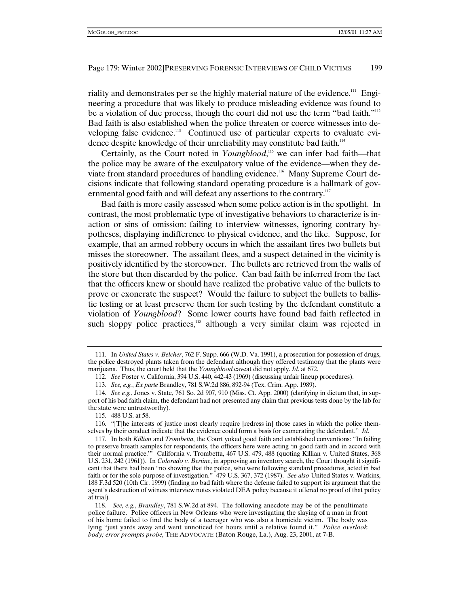riality and demonstrates per se the highly material nature of the evidence.111 Engineering a procedure that was likely to produce misleading evidence was found to be a violation of due process, though the court did not use the term "bad faith."<sup>112</sup> Bad faith is also established when the police threaten or coerce witnesses into developing false evidence.<sup>113</sup> Continued use of particular experts to evaluate evidence despite knowledge of their unreliability may constitute bad faith.<sup>114</sup>

Certainly, as the Court noted in *Youngblood*, 115 we can infer bad faith—that the police may be aware of the exculpatory value of the evidence—when they deviate from standard procedures of handling evidence.116 Many Supreme Court decisions indicate that following standard operating procedure is a hallmark of governmental good faith and will defeat any assertions to the contrary.<sup>117</sup>

Bad faith is more easily assessed when some police action is in the spotlight. In contrast, the most problematic type of investigative behaviors to characterize is inaction or sins of omission: failing to interview witnesses, ignoring contrary hypotheses, displaying indifference to physical evidence, and the like. Suppose, for example, that an armed robbery occurs in which the assailant fires two bullets but misses the storeowner. The assailant flees, and a suspect detained in the vicinity is positively identified by the storeowner. The bullets are retrieved from the walls of the store but then discarded by the police. Can bad faith be inferred from the fact that the officers knew or should have realized the probative value of the bullets to prove or exonerate the suspect? Would the failure to subject the bullets to ballistic testing or at least preserve them for such testing by the defendant constitute a violation of *Youngblood*? Some lower courts have found bad faith reflected in such sloppy police practices,<sup>118</sup> although a very similar claim was rejected in

<sup>111.</sup> In *United States v. Belcher*, 762 F. Supp. 666 (W.D. Va. 1991), a prosecution for possession of drugs, the police destroyed plants taken from the defendant although they offered testimony that the plants were marijuana. Thus, the court held that the *Youngblood* caveat did not apply. *Id*. at 672.

<sup>112</sup>*. See* Foster v. California, 394 U.S. 440, 442-43 (1969) (discussing unfair lineup procedures).

<sup>113</sup>*. See, e.g.*, *Ex parte* Brandley, 781 S.W.2d 886, 892-94 (Tex. Crim. App. 1989).

<sup>114</sup>*. See e.g.*, Jones v. State, 761 So. 2d 907, 910 (Miss. Ct. App. 2000) (clarifying in dictum that, in support of his bad faith claim, the defendant had not presented any claim that previous tests done by the lab for the state were untrustworthy).

<sup>115.</sup> 488 U.S. at 58.

<sup>116.</sup> "[T]he interests of justice most clearly require [redress in] those cases in which the police themselves by their conduct indicate that the evidence could form a basis for exonerating the defendant." *Id*.

<sup>117.</sup> In both *Killian* and *Trombetta*, the Court yoked good faith and established conventions: "In failing to preserve breath samples for respondents, the officers here were acting 'in good faith and in accord with their normal practice.'" California v. Trombetta, 467 U.S. 479, 488 (quoting Killian v. United States, 368 U.S. 231, 242 (1961)). In *Colorado v. Bertine*, in approving an inventory search, the Court thought it significant that there had been "no showing that the police, who were following standard procedures, acted in bad faith or for the sole purpose of investigation." 479 U.S. 367, 372 (1987). *See also* United States v. Watkins, 188 F.3d 520 (10th Cir. 1999) (finding no bad faith where the defense failed to support its argument that the agent's destruction of witness interview notes violated DEA policy because it offered no proof of that policy at trial).

<sup>118</sup>*. See, e.g.*, *Brandley*, 781 S.W.2d at 894. The following anecdote may be of the penultimate police failure. Police officers in New Orleans who were investigating the slaying of a man in front of his home failed to find the body of a teenager who was also a homicide victim. The body was lying "just yards away and went unnoticed for hours until a relative found it." *Police overlook body; error prompts probe,* THE ADVOCATE (Baton Rouge, La.), Aug. 23, 2001, at 7-B.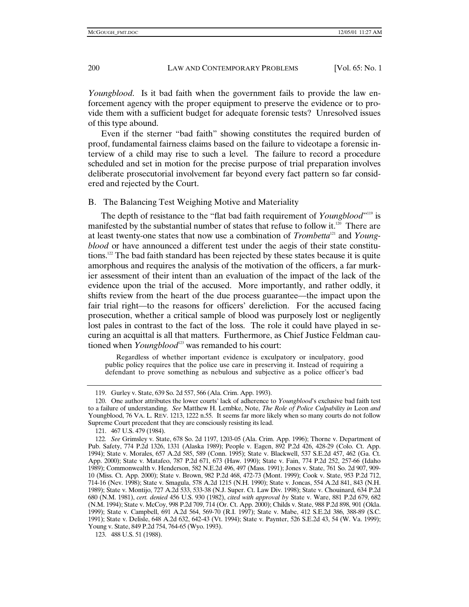*Youngblood*. Is it bad faith when the government fails to provide the law enforcement agency with the proper equipment to preserve the evidence or to provide them with a sufficient budget for adequate forensic tests? Unresolved issues of this type abound.

Even if the sterner "bad faith" showing constitutes the required burden of proof, fundamental fairness claims based on the failure to videotape a forensic interview of a child may rise to such a level. The failure to record a procedure scheduled and set in motion for the precise purpose of trial preparation involves deliberate prosecutorial involvement far beyond every fact pattern so far considered and rejected by the Court.

# B. The Balancing Test Weighing Motive and Materiality

The depth of resistance to the "flat bad faith requirement of *Youngblood*"<sup>119</sup> is manifested by the substantial number of states that refuse to follow it.<sup>120</sup> There are at least twenty-one states that now use a combination of *Trombetta*<sup>121</sup> and *Youngblood* or have announced a different test under the aegis of their state constitutions.122 The bad faith standard has been rejected by these states because it is quite amorphous and requires the analysis of the motivation of the officers, a far murkier assessment of their intent than an evaluation of the impact of the lack of the evidence upon the trial of the accused. More importantly, and rather oddly, it shifts review from the heart of the due process guarantee—the impact upon the fair trial right—to the reasons for officers' dereliction. For the accused facing prosecution, whether a critical sample of blood was purposely lost or negligently lost pales in contrast to the fact of the loss. The role it could have played in securing an acquittal is all that matters. Furthermore, as Chief Justice Feldman cautioned when *Youngblood*<sup>123</sup> was remanded to his court:

Regardless of whether important evidence is exculpatory or inculpatory, good public policy requires that the police use care in preserving it. Instead of requiring a defendant to prove something as nebulous and subjective as a police officer's bad

123. 488 U.S. 51 (1988).

<sup>119.</sup> Gurley v. State, 639 So. 2d 557, 566 (Ala. Crim. App. 1993).

<sup>120.</sup> One author attributes the lower courts' lack of adherence to *Youngblood*'s exclusive bad faith test to a failure of understanding. *See* Matthew H. Lembke, Note, *The Role of Police Culpability in* Leon *and* Youngblood, 76 VA. L. REV. 1213, 1222 n.55. It seems far more likely when so many courts do not follow Supreme Court precedent that they are consciously resisting its lead.

<sup>121.</sup> 467 U.S. 479 (1984).

<sup>122</sup>*. See* Grimsley v. State, 678 So. 2d 1197, 1203-05 (Ala. Crim. App. 1996); Thorne v. Department of Pub. Safety, 774 P.2d 1326, 1331 (Alaska 1989); People v. Eagen, 892 P.2d 426, 428-29 (Colo. Ct. App. 1994); State v. Morales, 657 A.2d 585, 589 (Conn. 1995); State v. Blackwell, 537 S.E.2d 457, 462 (Ga. Ct. App. 2000); State v. Matafeo, 787 P.2d 671, 673 (Haw. 1990); State v. Fain, 774 P.2d 252, 257-66 (Idaho 1989); Commonwealth v. Henderson, 582 N.E.2d 496, 497 (Mass. 1991); Jones v. State, 761 So. 2d 907, 909- 10 (Miss. Ct. App. 2000); State v. Brown, 982 P.2d 468, 472-73 (Mont. 1999); Cook v. State, 953 P.2d 712, 714-16 (Nev. 1998); State v. Smagula, 578 A.2d 1215 (N.H. 1990); State v. Joncas, 554 A.2d 841, 843 (N.H. 1989); State v. Montijo, 727 A.2d 533, 533-38 (N.J. Super. Ct. Law Div. 1998); State v. Chouinard, 634 P.2d 680 (N.M. 1981), *cert. denied* 456 U.S. 930 (1982), *cited with approval by* State v. Ware, 881 P.2d 679, 682 (N.M. 1994); State v. McCoy, 998 P.2d 709, 714 (Or. Ct. App. 2000); Childs v. State, 988 P.2d 898, 901 (Okla. 1999); State v. Campbell, 691 A.2d 564, 569-70 (R.I. 1997); State v. Mabe, 412 S.E.2d 386, 388-89 (S.C. 1991); State v. Delisle, 648 A.2d 632, 642-43 (Vt. 1994); State v. Paynter, 526 S.E.2d 43, 54 (W. Va. 1999); Young v. State, 849 P.2d 754, 764-65 (Wyo. 1993).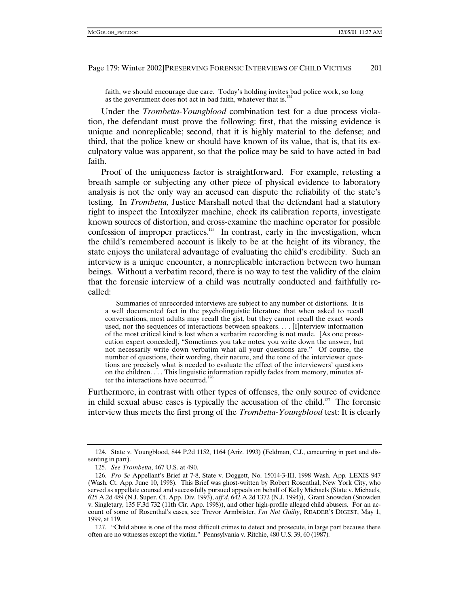faith, we should encourage due care. Today's holding invites bad police work, so long as the government does not act in bad faith, whatever that is.<sup>12</sup>

Under the *Trombetta-Youngblood* combination test for a due process violation, the defendant must prove the following: first, that the missing evidence is unique and nonreplicable; second, that it is highly material to the defense; and third, that the police knew or should have known of its value, that is, that its exculpatory value was apparent, so that the police may be said to have acted in bad faith.

Proof of the uniqueness factor is straightforward. For example, retesting a breath sample or subjecting any other piece of physical evidence to laboratory analysis is not the only way an accused can dispute the reliability of the state's testing. In *Trombetta,* Justice Marshall noted that the defendant had a statutory right to inspect the Intoxilyzer machine, check its calibration reports, investigate known sources of distortion, and cross-examine the machine operator for possible confession of improper practices. $125$  In contrast, early in the investigation, when the child's remembered account is likely to be at the height of its vibrancy, the state enjoys the unilateral advantage of evaluating the child's credibility. Such an interview is a unique encounter, a nonreplicable interaction between two human beings. Without a verbatim record, there is no way to test the validity of the claim that the forensic interview of a child was neutrally conducted and faithfully recalled:

Summaries of unrecorded interviews are subject to any number of distortions. It is a well documented fact in the psycholinguistic literature that when asked to recall conversations, most adults may recall the gist, but they cannot recall the exact words used, nor the sequences of interactions between speakers. . . . [I]nterview information of the most critical kind is lost when a verbatim recording is not made. [As one prosecution expert conceded], "Sometimes you take notes, you write down the answer, but not necessarily write down verbatim what all your questions are." Of course, the number of questions, their wording, their nature, and the tone of the interviewer questions are precisely what is needed to evaluate the effect of the interviewers' questions on the children. . . . This linguistic information rapidly fades from memory, minutes after the interactions have occurred.<sup>126</sup>

Furthermore, in contrast with other types of offenses, the only source of evidence in child sexual abuse cases is typically the accusation of the child.<sup>127</sup> The forensic interview thus meets the first prong of the *Trombetta-Youngblood* test: It is clearly

<sup>124.</sup> State v. Youngblood, 844 P.2d 1152, 1164 (Ariz. 1993) (Feldman, C.J., concurring in part and dissenting in part).

<sup>125</sup>*. See Trombetta*, 467 U.S. at 490.

<sup>126</sup>*. Pro Se* Appellant's Brief at 7-8, State v. Doggett, No. 15014-3-III, 1998 Wash. App. LEXIS 947 (Wash. Ct. App. June 10, 1998). This Brief was ghost-written by Robert Rosenthal, New York City, who served as appellate counsel and successfully pursued appeals on behalf of Kelly Michaels (State v. Michaels, 625 A.2d 489 (N.J. Super. Ct. App. Div. 1993), *aff'd*, 642 A.2d 1372 (N.J. 1994)), Grant Snowden (Snowden v. Singletary, 135 F.3d 732 (11th Cir. App. 1998)), and other high-profile alleged child abusers. For an account of some of Rosenthal's cases, see Trevor Armbrister, *I'm Not Guilty*, READER'S DIGEST, May 1, 1999, at 119.

<sup>127.</sup> "Child abuse is one of the most difficult crimes to detect and prosecute, in large part because there often are no witnesses except the victim." Pennsylvania v. Ritchie, 480 U.S. 39, 60 (1987)*.*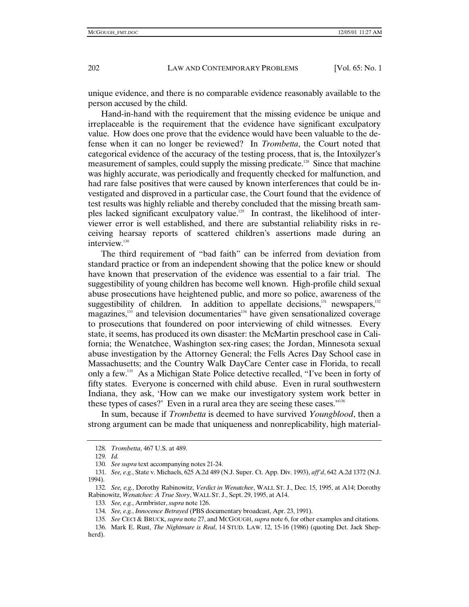unique evidence, and there is no comparable evidence reasonably available to the person accused by the child.

Hand-in-hand with the requirement that the missing evidence be unique and irreplaceable is the requirement that the evidence have significant exculpatory value. How does one prove that the evidence would have been valuable to the defense when it can no longer be reviewed? In *Trombetta*, the Court noted that categorical evidence of the accuracy of the testing process, that is, the Intoxilyzer's measurement of samples, could supply the missing predicate.128 Since that machine was highly accurate, was periodically and frequently checked for malfunction, and had rare false positives that were caused by known interferences that could be investigated and disproved in a particular case, the Court found that the evidence of test results was highly reliable and thereby concluded that the missing breath samples lacked significant exculpatory value.129 In contrast, the likelihood of interviewer error is well established, and there are substantial reliability risks in receiving hearsay reports of scattered children's assertions made during an interview.<sup>130</sup>

The third requirement of "bad faith" can be inferred from deviation from standard practice or from an independent showing that the police knew or should have known that preservation of the evidence was essential to a fair trial. The suggestibility of young children has become well known. High-profile child sexual abuse prosecutions have heightened public, and more so police, awareness of the suggestibility of children. In addition to appellate decisions, $131$  newspapers, $132$ magazines, $133$  and television documentaries<sup>134</sup> have given sensationalized coverage to prosecutions that foundered on poor interviewing of child witnesses. Every state, it seems, has produced its own disaster: the McMartin preschool case in California; the Wenatchee, Washington sex-ring cases; the Jordan, Minnesota sexual abuse investigation by the Attorney General; the Fells Acres Day School case in Massachusetts; and the Country Walk DayCare Center case in Florida, to recall only a few.135 As a Michigan State Police detective recalled, "I've been in forty of fifty states. Everyone is concerned with child abuse. Even in rural southwestern Indiana, they ask, 'How can we make our investigatory system work better in these types of cases?' Even in a rural area they are seeing these cases."136

In sum, because if *Trombetta* is deemed to have survived *Youngblood*, then a strong argument can be made that uniqueness and nonreplicability, high material-

<sup>128</sup>*. Trombetta*, 467 U.S. at 489.

<sup>129</sup>*. Id.*

<sup>130</sup>*. See supra* text accompanying notes 21-24.

<sup>131</sup>*. See, e.g.*, State v. Michaels, 625 A.2d 489 (N.J. Super. Ct. App. Div. 1993), *aff'd*, 642 A.2d 1372 (N.J. 1994).

<sup>132</sup>*. See, e.g.*, Dorothy Rabinowitz, *Verdict in Wenatchee*, WALL ST. J., Dec. 15, 1995, at A14; Dorothy Rabinowitz, *Wenatchee: A True Story*, WALL ST. J., Sept. 29, 1995, at A14.

<sup>133</sup>*. See, e.g.*, Armbrister, *supra* note 126.

<sup>134</sup>*. See, e.g.*, *Innocence Betrayed* (PBS documentary broadcast, Apr. 23, 1991).

<sup>135</sup>*. See* CECI & BRUCK, *supra* note 27, and MCGOUGH, *supra* note 6, for other examples and citations.

<sup>136.</sup> Mark E. Rust, *The Nightmare is Real*, 14 STUD. LAW. 12, 15-16 (1986) (quoting Det. Jack Shepherd).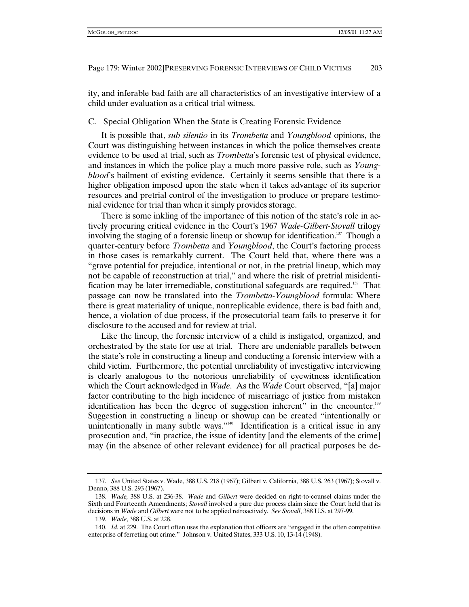ity, and inferable bad faith are all characteristics of an investigative interview of a child under evaluation as a critical trial witness.

## C. Special Obligation When the State is Creating Forensic Evidence

It is possible that, *sub silentio* in its *Trombetta* and *Youngblood* opinions, the Court was distinguishing between instances in which the police themselves create evidence to be used at trial, such as *Trombetta*'s forensic test of physical evidence, and instances in which the police play a much more passive role, such as *Youngblood*'s bailment of existing evidence. Certainly it seems sensible that there is a higher obligation imposed upon the state when it takes advantage of its superior resources and pretrial control of the investigation to produce or prepare testimonial evidence for trial than when it simply provides storage.

There is some inkling of the importance of this notion of the state's role in actively procuring critical evidence in the Court's 1967 *Wade-Gilbert-Stovall* trilogy involving the staging of a forensic lineup or showup for identification.<sup>137</sup> Though a quarter-century before *Trombetta* and *Youngblood*, the Court's factoring process in those cases is remarkably current. The Court held that, where there was a "grave potential for prejudice, intentional or not, in the pretrial lineup, which may not be capable of reconstruction at trial," and where the risk of pretrial misidentification may be later irremediable, constitutional safeguards are required.138 That passage can now be translated into the *Trombetta-Youngblood* formula: Where there is great materiality of unique, nonreplicable evidence, there is bad faith and, hence, a violation of due process, if the prosecutorial team fails to preserve it for disclosure to the accused and for review at trial.

Like the lineup, the forensic interview of a child is instigated, organized, and orchestrated by the state for use at trial. There are undeniable parallels between the state's role in constructing a lineup and conducting a forensic interview with a child victim. Furthermore, the potential unreliability of investigative interviewing is clearly analogous to the notorious unreliability of eyewitness identification which the Court acknowledged in *Wade*. As the *Wade* Court observed, "[a] major factor contributing to the high incidence of miscarriage of justice from mistaken identification has been the degree of suggestion inherent" in the encounter.139 Suggestion in constructing a lineup or showup can be created "intentionally or unintentionally in many subtle ways."<sup>140</sup> Identification is a critical issue in any prosecution and, "in practice, the issue of identity [and the elements of the crime] may (in the absence of other relevant evidence) for all practical purposes be de-

<sup>137</sup>*. See* United States v. Wade, 388 U.S. 218 (1967); Gilbert v. California, 388 U.S. 263 (1967); Stovall v. Denno, 388 U.S. 293 (1967).

<sup>138</sup>*. Wade,* 388 U.S. at 236-38. *Wade* and *Gilbert* were decided on right-to-counsel claims under the Sixth and Fourteenth Amendments; *Stovall* involved a pure due process claim since the Court held that its decisions in *Wade* and *Gilbert* were not to be applied retroactively. *See Stovall*, 388 U.S. at 297-99.

<sup>139</sup>*. Wade*, 388 U.S. at 228.

<sup>140</sup>*. Id.* at 229. The Court often uses the explanation that officers are "engaged in the often competitive enterprise of ferreting out crime." Johnson v. United States, 333 U.S. 10, 13-14 (1948).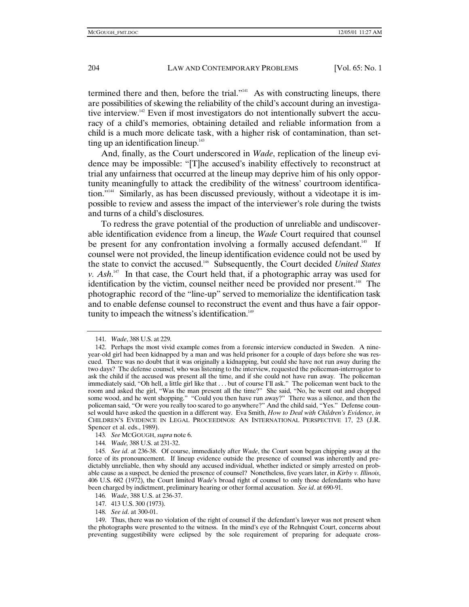termined there and then, before the trial."<sup>141</sup> As with constructing lineups, there are possibilities of skewing the reliability of the child's account during an investigative interview.<sup>142</sup> Even if most investigators do not intentionally subvert the accuracy of a child's memories, obtaining detailed and reliable information from a child is a much more delicate task, with a higher risk of contamination, than setting up an identification lineup. $143$ 

And, finally, as the Court underscored in *Wade*, replication of the lineup evidence may be impossible: "[T]he accused's inability effectively to reconstruct at trial any unfairness that occurred at the lineup may deprive him of his only opportunity meaningfully to attack the credibility of the witness' courtroom identification."144 Similarly, as has been discussed previously, without a videotape it is impossible to review and assess the impact of the interviewer's role during the twists and turns of a child's disclosures.

To redress the grave potential of the production of unreliable and undiscoverable identification evidence from a lineup, the *Wade* Court required that counsel be present for any confrontation involving a formally accused defendant.<sup>145</sup> If counsel were not provided, the lineup identification evidence could not be used by the state to convict the accused.146 Subsequently, the Court decided *United States v. Ash.*<sup>147</sup> In that case, the Court held that, if a photographic array was used for identification by the victim, counsel neither need be provided nor present.<sup>148</sup> The photographic record of the "line-up" served to memorialize the identification task and to enable defense counsel to reconstruct the event and thus have a fair opportunity to impeach the witness's identification.<sup>149</sup>

<sup>141</sup>*. Wade*, 388 U.S. at 229.

<sup>142.</sup> Perhaps the most vivid example comes from a forensic interview conducted in Sweden. A nineyear-old girl had been kidnapped by a man and was held prisoner for a couple of days before she was rescued. There was no doubt that it was originally a kidnapping, but could she have not run away during the two days? The defense counsel, who was listening to the interview, requested the policeman-interrogator to ask the child if the accused was present all the time, and if she could not have run away. The policeman immediately said, "Oh hell, a little girl like that . . . but of course I'll ask." The policeman went back to the room and asked the girl, "Was the man present all the time?" She said, "No, he went out and chopped some wood, and he went shopping." "Could you then have run away?" There was a silence, and then the policeman said, "Or were you really too scared to go anywhere?" And the child said, "Yes." Defense counsel would have asked the question in a different way. Eva Smith, *How to Deal with Children's Evidence*, *in* CHILDREN'S EVIDENCE IN LEGAL PROCEEDINGS: AN INTERNATIONAL PERSPECTIVE 17, 23 (J.R. Spencer et al. eds., 1989).

<sup>143</sup>*. See* MCGOUGH, *supra* note 6.

<sup>144</sup>*. Wade,* 388 U.S. at 231-32.

<sup>145</sup>*. See id*. at 236-38. Of course, immediately after *Wade*, the Court soon began chipping away at the force of its pronouncement. If lineup evidence outside the presence of counsel was inherently and predictably unreliable, then why should any accused individual, whether indicted or simply arrested on probable cause as a suspect, be denied the presence of counsel? Nonetheless, five years later, in *Kirby v. Illinois*, 406 U.S. 682 (1972), the Court limited *Wade*'s broad right of counsel to only those defendants who have been charged by indictment, preliminary hearing or other formal accusation. *See id*. at 690-91.

<sup>146</sup>*. Wade*, 388 U.S. at 236-37.

<sup>147.</sup> 413 U.S. 300 (1973).

<sup>148</sup>*. See id*. at 300-01.

<sup>149.</sup> Thus, there was no violation of the right of counsel if the defendant's lawyer was not present when the photographs were presented to the witness. In the mind's eye of the Rehnquist Court, concerns about preventing suggestibility were eclipsed by the sole requirement of preparing for adequate cross-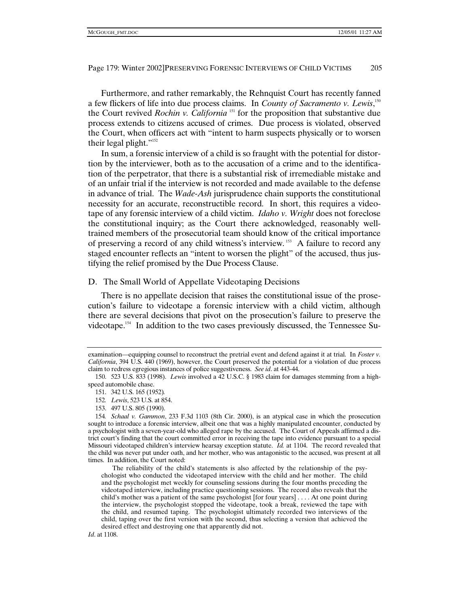Furthermore, and rather remarkably, the Rehnquist Court has recently fanned a few flickers of life into due process claims. In *County of Sacramento v. Lewis*,<sup>150</sup> the Court revived *Rochin v. California*<sup>151</sup> for the proposition that substantive due process extends to citizens accused of crimes. Due process is violated, observed the Court, when officers act with "intent to harm suspects physically or to worsen their legal plight."<sup>152</sup>

In sum, a forensic interview of a child is so fraught with the potential for distortion by the interviewer, both as to the accusation of a crime and to the identification of the perpetrator, that there is a substantial risk of irremediable mistake and of an unfair trial if the interview is not recorded and made available to the defense in advance of trial. The *Wade-Ash* jurisprudence chain supports the constitutional necessity for an accurate, reconstructible record. In short, this requires a videotape of any forensic interview of a child victim. *Idaho v. Wright* does not foreclose the constitutional inquiry; as the Court there acknowledged, reasonably welltrained members of the prosecutorial team should know of the critical importance of preserving a record of any child witness's interview. 153 A failure to record any staged encounter reflects an "intent to worsen the plight" of the accused, thus justifying the relief promised by the Due Process Clause.

# D. The Small World of Appellate Videotaping Decisions

There is no appellate decision that raises the constitutional issue of the prosecution's failure to videotape a forensic interview with a child victim, although there are several decisions that pivot on the prosecution's failure to preserve the videotape.154 In addition to the two cases previously discussed, the Tennessee Su-

152*. Lewis*, 523 U.S. at 854.

examination—equipping counsel to reconstruct the pretrial event and defend against it at trial. In *Foster v. California*, 394 U.S. 440 (1969), however, the Court preserved the potential for a violation of due process claim to redress egregious instances of police suggestiveness. *See id*. at 443-44.

<sup>150.</sup> 523 U.S. 833 (1998). *Lewis* involved a 42 U.S.C. § 1983 claim for damages stemming from a highspeed automobile chase.

<sup>151.</sup> 342 U.S. 165 (1952)*.*

<sup>153.</sup> 497 U.S. 805 (1990).

<sup>154</sup>*. Schaal v. Gammon*, 233 F.3d 1103 (8th Cir. 2000), is an atypical case in which the prosecution sought to introduce a forensic interview, albeit one that was a highly manipulated encounter, conducted by a psychologist with a seven-year-old who alleged rape by the accused. The Court of Appeals affirmed a district court's finding that the court committed error in receiving the tape into evidence pursuant to a special Missouri videotaped children's interview hearsay exception statute. *Id.* at 1104. The record revealed that the child was never put under oath, and her mother, who was antagonistic to the accused, was present at all times. In addition, the Court noted:

The reliability of the child's statements is also affected by the relationship of the psychologist who conducted the videotaped interview with the child and her mother. The child and the psychologist met weekly for counseling sessions during the four months preceding the videotaped interview, including practice questioning sessions. The record also reveals that the child's mother was a patient of the same psychologist [for four years] . . . . At one point during the interview, the psychologist stopped the videotape, took a break, reviewed the tape with the child, and resumed taping. The psychologist ultimately recorded two interviews of the child, taping over the first version with the second, thus selecting a version that achieved the desired effect and destroying one that apparently did not.

*Id*. at 1108.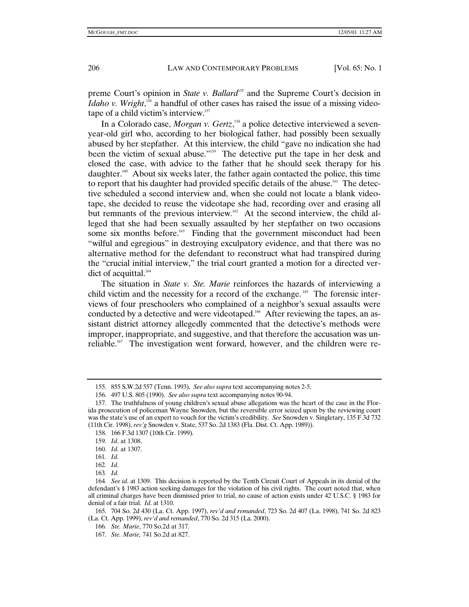preme Court's opinion in *State v. Ballard*<sup>155</sup> and the Supreme Court's decision in *Idaho v. Wright*,<sup>156</sup> a handful of other cases has raised the issue of a missing videotape of a child victim's interview.<sup>157</sup>

In a Colorado case, *Morgan v. Gertz*,<sup>158</sup> a police detective interviewed a sevenyear-old girl who, according to her biological father, had possibly been sexually abused by her stepfather. At this interview, the child "gave no indication she had been the victim of sexual abuse."159 The detective put the tape in her desk and closed the case, with advice to the father that he should seek therapy for his daughter.<sup>160</sup> About six weeks later, the father again contacted the police, this time to report that his daughter had provided specific details of the abuse.<sup>161</sup> The detective scheduled a second interview and, when she could not locate a blank videotape, she decided to reuse the videotape she had, recording over and erasing all but remnants of the previous interview.<sup>162</sup> At the second interview, the child alleged that she had been sexually assaulted by her stepfather on two occasions some six months before.<sup>163</sup> Finding that the government misconduct had been "wilful and egregious" in destroying exculpatory evidence, and that there was no alternative method for the defendant to reconstruct what had transpired during the "crucial initial interview," the trial court granted a motion for a directed verdict of acquittal.<sup>164</sup>

The situation in *State v. Ste. Marie* reinforces the hazards of interviewing a child victim and the necessity for a record of the exchange. 165 The forensic interviews of four preschoolers who complained of a neighbor's sexual assaults were conducted by a detective and were videotaped.<sup>166</sup> After reviewing the tapes, an assistant district attorney allegedly commented that the detective's methods were improper, inappropriate, and suggestive, and that therefore the accusation was unreliable.<sup>167</sup> The investigation went forward, however, and the children were re-

161*. Id.*

<sup>155.</sup> 855 S.W.2d 557 (Tenn. 1993). *See also supra* text accompanying notes 2-5.

<sup>156.</sup> 497 U.S. 805 (1990). *See also supra* text accompanying notes 90-94.

<sup>157.</sup> The truthfulness of young children's sexual abuse allegations was the heart of the case in the Florida prosecution of policeman Wayne Snowden, but the reversible error seized upon by the reviewing court was the state's use of an expert to vouch for the victim's credibility. *See* Snowden v. Singletary, 135 F.3d 732 (11th Cir. 1998), *rev'g* Snowden v. State, 537 So. 2d 1383 (Fla. Dist. Ct. App. 1989)).

<sup>158.</sup> 166 F.3d 1307 (10th Cir. 1999).

<sup>159</sup>*. Id*. at 1308.

<sup>160</sup>*. Id.* at 1307.

<sup>162</sup>*. Id.*

<sup>163</sup>*. Id.*

<sup>164</sup>*. See id*. at 1309. This decision is reported by the Tenth Circuit Court of Appeals in its denial of the defendant's § 1983 action seeking damages for the violation of his civil rights. The court noted that, when all criminal charges have been dismissed prior to trial, no cause of action exists under 42 U.S.C. § 1983 for denial of a fair trial. *Id*. at 1310.

<sup>165.</sup> 704 So. 2d 430 (La. Ct. App. 1997), *rev'd and remanded*, 723 So. 2d 407 (La. 1998), 741 So. 2d 823 (La. Ct. App. 1999), *rev'd and remanded*, 770 So. 2d 315 (La. 2000).

<sup>166</sup>*. Ste. Marie*, 770 So.2d at 317.

<sup>167</sup>*. Ste. Marie,* 741 So.2d at 827.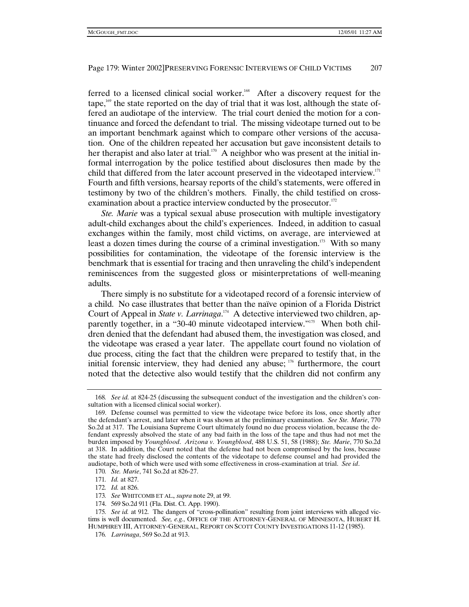ferred to a licensed clinical social worker.<sup>168</sup> After a discovery request for the tape,<sup>169</sup> the state reported on the day of trial that it was lost, although the state offered an audiotape of the interview. The trial court denied the motion for a continuance and forced the defendant to trial. The missing videotape turned out to be an important benchmark against which to compare other versions of the accusation. One of the children repeated her accusation but gave inconsistent details to her therapist and also later at trial.<sup>170</sup> A neighbor who was present at the initial informal interrogation by the police testified about disclosures then made by the child that differed from the later account preserved in the videotaped interview.<sup>171</sup> Fourth and fifth versions, hearsay reports of the child's statements, were offered in testimony by two of the children's mothers. Finally, the child testified on crossexamination about a practice interview conducted by the prosecutor. $172$ 

*Ste. Marie* was a typical sexual abuse prosecution with multiple investigatory adult-child exchanges about the child's experiences. Indeed, in addition to casual exchanges within the family, most child victims, on average, are interviewed at least a dozen times during the course of a criminal investigation.173 With so many possibilities for contamination, the videotape of the forensic interview is the benchmark that is essential for tracing and then unraveling the child's independent reminiscences from the suggested gloss or misinterpretations of well-meaning adults.

There simply is no substitute for a videotaped record of a forensic interview of a child. No case illustrates that better than the naïve opinion of a Florida District Court of Appeal in *State v. Larrinaga*. 174 A detective interviewed two children, apparently together, in a "30-40 minute videotaped interview."175 When both children denied that the defendant had abused them, the investigation was closed, and the videotape was erased a year later. The appellate court found no violation of due process, citing the fact that the children were prepared to testify that, in the initial forensic interview, they had denied any abuse;  $176$  furthermore, the court noted that the detective also would testify that the children did not confirm any

<sup>168</sup>*. See id.* at 824-25 (discussing the subsequent conduct of the investigation and the children's consultation with a licensed clinical social worker).

<sup>169.</sup> Defense counsel was permitted to view the videotape twice before its loss, once shortly after the defendant's arrest, and later when it was shown at the preliminary examination. *See Ste. Marie*, 770 So.2d at 317. The Louisiana Supreme Court ultimately found no due process violation, because the defendant expressly absolved the state of any bad faith in the loss of the tape and thus had not met the burden imposed by *Youngblood*. *Arizona v. Youngblood*, 488 U.S. 51, 58 (1988); *Ste. Marie*, 770 So.2d at 318. In addition, the Court noted that the defense had not been compromised by the loss, because the state had freely disclosed the contents of the videotape to defense counsel and had provided the audiotape, both of which were used with some effectiveness in cross-examination at trial. *See id*.

<sup>170</sup>*. Ste. Marie*, 741 So.2d at 826-27.

<sup>171</sup>*. Id.* at 827.

<sup>172</sup>*. Id.* at 826.

<sup>173</sup>*. See* WHITCOMB ET AL.*, supra* note 29, at 99.

<sup>174.</sup> 569 So.2d 911 (Fla. Dist. Ct. App. 1990).

<sup>175</sup>*. See id.* at 912. The dangers of "cross-pollination" resulting from joint interviews with alleged victims is well documented. *See, e.g.*, OFFICE OF THE ATTORNEY-GENERAL OF MINNESOTA, HUBERT H. HUMPHREY III, ATTORNEY-GENERAL, REPORT ON SCOTT COUNTY INVESTIGATIONS 11-12 (1985).

<sup>176</sup>*. Larrinaga*, 569 So.2d at 913.